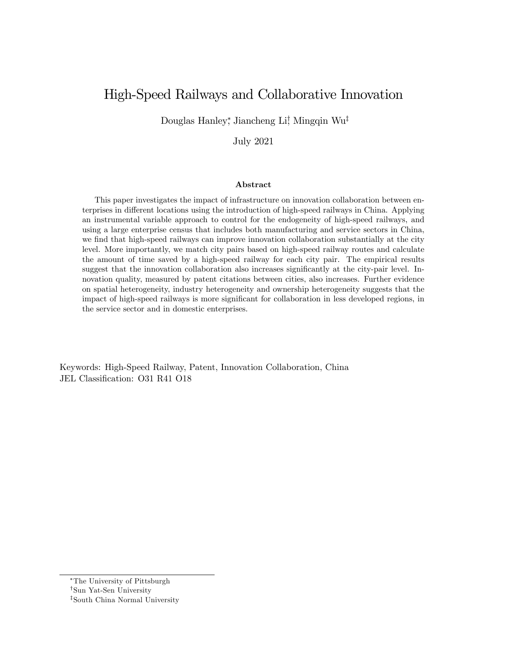# High-Speed Railways and Collaborative Innovation

Douglas Hanley,<sup>\*</sup> Jiancheng Li<sup>†</sup> Mingqin Wu<sup>‡</sup>

July 2021

#### Abstract

This paper investigates the impact of infrastructure on innovation collaboration between enterprises in different locations using the introduction of high-speed railways in China. Applying an instrumental variable approach to control for the endogeneity of high-speed railways, and using a large enterprise census that includes both manufacturing and service sectors in China, we find that high-speed railways can improve innovation collaboration substantially at the city level. More importantly, we match city pairs based on high-speed railway routes and calculate the amount of time saved by a high-speed railway for each city pair. The empirical results suggest that the innovation collaboration also increases significantly at the city-pair level. Innovation quality, measured by patent citations between cities, also increases. Further evidence on spatial heterogeneity, industry heterogeneity and ownership heterogeneity suggests that the impact of high-speed railways is more significant for collaboration in less developed regions, in the service sector and in domestic enterprises.

Keywords: High-Speed Railway, Patent, Innovation Collaboration, China JEL Classification: O31 R41 O18

The University of Pittsburgh

<sup>&</sup>lt;sup>†</sup>Sun Yat-Sen University

z South China Normal University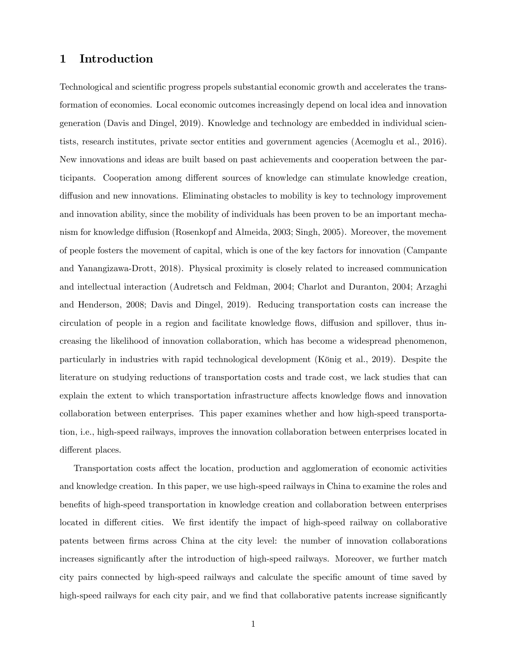# 1 Introduction

Technological and scientific progress propels substantial economic growth and accelerates the transformation of economies. Local economic outcomes increasingly depend on local idea and innovation generation (Davis and Dingel, 2019). Knowledge and technology are embedded in individual scientists, research institutes, private sector entities and government agencies (Acemoglu et al., 2016). New innovations and ideas are built based on past achievements and cooperation between the participants. Cooperation among different sources of knowledge can stimulate knowledge creation, diffusion and new innovations. Eliminating obstacles to mobility is key to technology improvement and innovation ability, since the mobility of individuals has been proven to be an important mechanism for knowledge diffusion (Rosenkopf and Almeida, 2003; Singh, 2005). Moreover, the movement of people fosters the movement of capital, which is one of the key factors for innovation (Campante and Yanangizawa-Drott, 2018). Physical proximity is closely related to increased communication and intellectual interaction (Audretsch and Feldman, 2004; Charlot and Duranton, 2004; Arzaghi and Henderson, 2008; Davis and Dingel, 2019). Reducing transportation costs can increase the circulation of people in a region and facilitate knowledge flows, diffusion and spillover, thus increasing the likelihood of innovation collaboration, which has become a widespread phenomenon, particularly in industries with rapid technological development (König et al., 2019). Despite the literature on studying reductions of transportation costs and trade cost, we lack studies that can explain the extent to which transportation infrastructure affects knowledge flows and innovation collaboration between enterprises. This paper examines whether and how high-speed transportation, i.e., high-speed railways, improves the innovation collaboration between enterprises located in different places.

Transportation costs affect the location, production and agglomeration of economic activities and knowledge creation. In this paper, we use high-speed railways in China to examine the roles and benefits of high-speed transportation in knowledge creation and collaboration between enterprises located in different cities. We first identify the impact of high-speed railway on collaborative patents between Örms across China at the city level: the number of innovation collaborations increases significantly after the introduction of high-speed railways. Moreover, we further match city pairs connected by high-speed railways and calculate the specific amount of time saved by high-speed railways for each city pair, and we find that collaborative patents increase significantly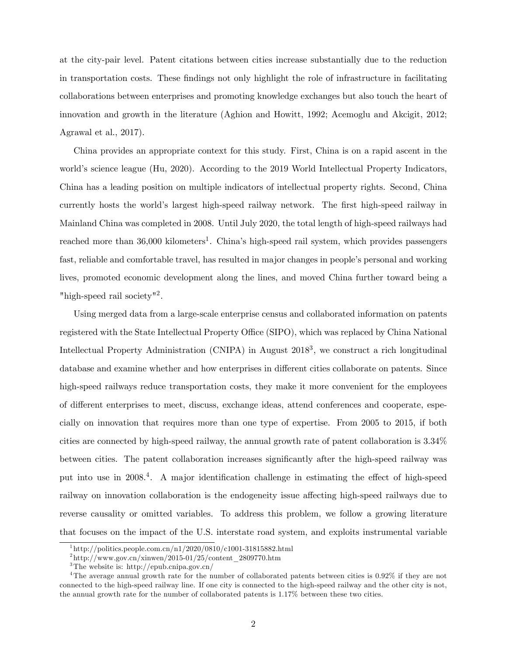at the city-pair level. Patent citations between cities increase substantially due to the reduction in transportation costs. These findings not only highlight the role of infrastructure in facilitating collaborations between enterprises and promoting knowledge exchanges but also touch the heart of innovation and growth in the literature (Aghion and Howitt, 1992; Acemoglu and Akcigit, 2012; Agrawal et al., 2017).

China provides an appropriate context for this study. First, China is on a rapid ascent in the world's science league (Hu, 2020). According to the 2019 World Intellectual Property Indicators, China has a leading position on multiple indicators of intellectual property rights. Second, China currently hosts the world's largest high-speed railway network. The first high-speed railway in Mainland China was completed in 2008. Until July 2020, the total length of high-speed railways had reached more than 36,000 kilometers<sup>1</sup>. China's high-speed rail system, which provides passengers fast, reliable and comfortable travel, has resulted in major changes in people's personal and working lives, promoted economic development along the lines, and moved China further toward being a "high-speed rail society"<sup>2</sup>.

Using merged data from a large-scale enterprise census and collaborated information on patents registered with the State Intellectual Property Office (SIPO), which was replaced by China National Intellectual Property Administration (CNIPA) in August 2018<sup>3</sup>, we construct a rich longitudinal database and examine whether and how enterprises in different cities collaborate on patents. Since high-speed railways reduce transportation costs, they make it more convenient for the employees of different enterprises to meet, discuss, exchange ideas, attend conferences and cooperate, especially on innovation that requires more than one type of expertise. From 2005 to 2015, if both cities are connected by high-speed railway, the annual growth rate of patent collaboration is 3.34% between cities. The patent collaboration increases significantly after the high-speed railway was put into use in 2008.<sup>4</sup>. A major identification challenge in estimating the effect of high-speed railway on innovation collaboration is the endogeneity issue affecting high-speed railways due to reverse causality or omitted variables. To address this problem, we follow a growing literature that focuses on the impact of the U.S. interstate road system, and exploits instrumental variable

<sup>1</sup> http://politics.people.com.cn/n1/2020/0810/c1001-31815882.html

 $^{2}\text{http://www.gov.cn/xinwen/2015-01/25/content\_2809770.htm}$ 

<sup>3</sup>The website is: http://epub.cnipa.gov.cn/

<sup>&</sup>lt;sup>4</sup>The average annual growth rate for the number of collaborated patents between cities is 0.92% if they are not connected to the high-speed railway line. If one city is connected to the high-speed railway and the other city is not, the annual growth rate for the number of collaborated patents is 1.17% between these two cities.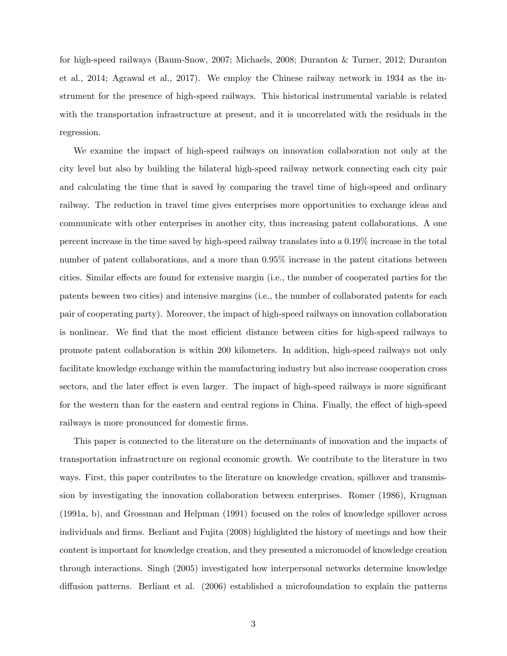for high-speed railways (Baum-Snow, 2007; Michaels, 2008; Duranton & Turner, 2012; Duranton et al., 2014; Agrawal et al., 2017). We employ the Chinese railway network in 1934 as the instrument for the presence of high-speed railways. This historical instrumental variable is related with the transportation infrastructure at present, and it is uncorrelated with the residuals in the regression.

We examine the impact of high-speed railways on innovation collaboration not only at the city level but also by building the bilateral high-speed railway network connecting each city pair and calculating the time that is saved by comparing the travel time of high-speed and ordinary railway. The reduction in travel time gives enterprises more opportunities to exchange ideas and communicate with other enterprises in another city, thus increasing patent collaborations. A one percent increase in the time saved by high-speed railway translates into a 0.19% increase in the total number of patent collaborations, and a more than  $0.95\%$  increase in the patent citations between cities. Similar effects are found for extensive margin (i.e., the number of cooperated parties for the patents beween two cities) and intensive margins (i.e., the number of collaborated patents for each pair of cooperating party). Moreover, the impact of high-speed railways on innovation collaboration is nonlinear. We find that the most efficient distance between cities for high-speed railways to promote patent collaboration is within 200 kilometers. In addition, high-speed railways not only facilitate knowledge exchange within the manufacturing industry but also increase cooperation cross sectors, and the later effect is even larger. The impact of high-speed railways is more significant for the western than for the eastern and central regions in China. Finally, the effect of high-speed railways is more pronounced for domestic firms.

This paper is connected to the literature on the determinants of innovation and the impacts of transportation infrastructure on regional economic growth. We contribute to the literature in two ways. First, this paper contributes to the literature on knowledge creation, spillover and transmission by investigating the innovation collaboration between enterprises. Romer (1986), Krugman (1991a, b), and Grossman and Helpman (1991) focused on the roles of knowledge spillover across individuals and firms. Berliant and Fujita (2008) highlighted the history of meetings and how their content is important for knowledge creation, and they presented a micromodel of knowledge creation through interactions. Singh (2005) investigated how interpersonal networks determine knowledge diffusion patterns. Berliant et al. (2006) established a microfoundation to explain the patterns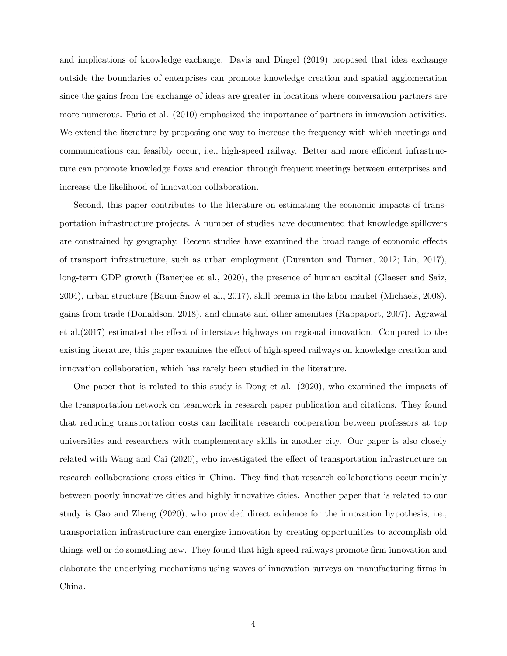and implications of knowledge exchange. Davis and Dingel (2019) proposed that idea exchange outside the boundaries of enterprises can promote knowledge creation and spatial agglomeration since the gains from the exchange of ideas are greater in locations where conversation partners are more numerous. Faria et al. (2010) emphasized the importance of partners in innovation activities. We extend the literature by proposing one way to increase the frequency with which meetings and communications can feasibly occur, i.e., high-speed railway. Better and more efficient infrastructure can promote knowledge flows and creation through frequent meetings between enterprises and increase the likelihood of innovation collaboration.

Second, this paper contributes to the literature on estimating the economic impacts of transportation infrastructure projects. A number of studies have documented that knowledge spillovers are constrained by geography. Recent studies have examined the broad range of economic effects of transport infrastructure, such as urban employment (Duranton and Turner, 2012; Lin, 2017), long-term GDP growth (Banerjee et al., 2020), the presence of human capital (Glaeser and Saiz, 2004), urban structure (Baum-Snow et al., 2017), skill premia in the labor market (Michaels, 2008), gains from trade (Donaldson, 2018), and climate and other amenities (Rappaport, 2007). Agrawal et al. $(2017)$  estimated the effect of interstate highways on regional innovation. Compared to the existing literature, this paper examines the effect of high-speed railways on knowledge creation and innovation collaboration, which has rarely been studied in the literature.

One paper that is related to this study is Dong et al. (2020), who examined the impacts of the transportation network on teamwork in research paper publication and citations. They found that reducing transportation costs can facilitate research cooperation between professors at top universities and researchers with complementary skills in another city. Our paper is also closely related with Wang and Cai (2020), who investigated the effect of transportation infrastructure on research collaborations cross cities in China. They find that research collaborations occur mainly between poorly innovative cities and highly innovative cities. Another paper that is related to our study is Gao and Zheng (2020), who provided direct evidence for the innovation hypothesis, i.e., transportation infrastructure can energize innovation by creating opportunities to accomplish old things well or do something new. They found that high-speed railways promote firm innovation and elaborate the underlying mechanisms using waves of innovation surveys on manufacturing firms in China.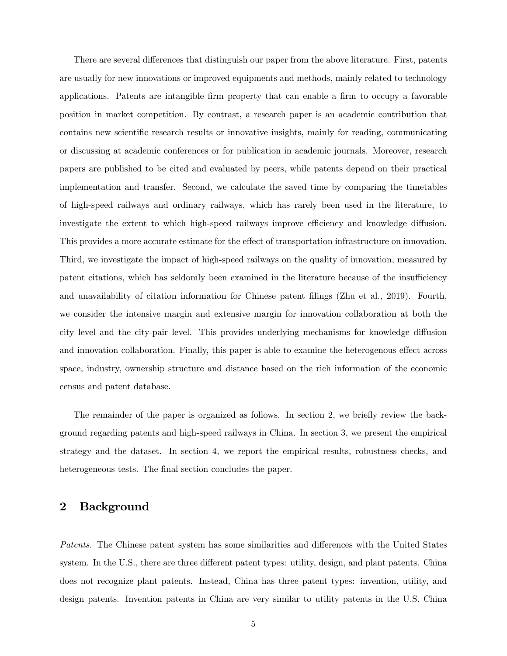There are several differences that distinguish our paper from the above literature. First, patents are usually for new innovations or improved equipments and methods, mainly related to technology applications. Patents are intangible firm property that can enable a firm to occupy a favorable position in market competition. By contrast, a research paper is an academic contribution that contains new scientific research results or innovative insights, mainly for reading, communicating or discussing at academic conferences or for publication in academic journals. Moreover, research papers are published to be cited and evaluated by peers, while patents depend on their practical implementation and transfer. Second, we calculate the saved time by comparing the timetables of high-speed railways and ordinary railways, which has rarely been used in the literature, to investigate the extent to which high-speed railways improve efficiency and knowledge diffusion. This provides a more accurate estimate for the effect of transportation infrastructure on innovation. Third, we investigate the impact of high-speed railways on the quality of innovation, measured by patent citations, which has seldomly been examined in the literature because of the insufficiency and unavailability of citation information for Chinese patent filings (Zhu et al., 2019). Fourth, we consider the intensive margin and extensive margin for innovation collaboration at both the city level and the city-pair level. This provides underlying mechanisms for knowledge diffusion and innovation collaboration. Finally, this paper is able to examine the heterogenous effect across space, industry, ownership structure and distance based on the rich information of the economic census and patent database.

The remainder of the paper is organized as follows. In section 2, we briefly review the background regarding patents and high-speed railways in China. In section 3, we present the empirical strategy and the dataset. In section 4, we report the empirical results, robustness checks, and heterogeneous tests. The final section concludes the paper.

# 2 Background

Patents. The Chinese patent system has some similarities and differences with the United States system. In the U.S., there are three different patent types: utility, design, and plant patents. China does not recognize plant patents. Instead, China has three patent types: invention, utility, and design patents. Invention patents in China are very similar to utility patents in the U.S. China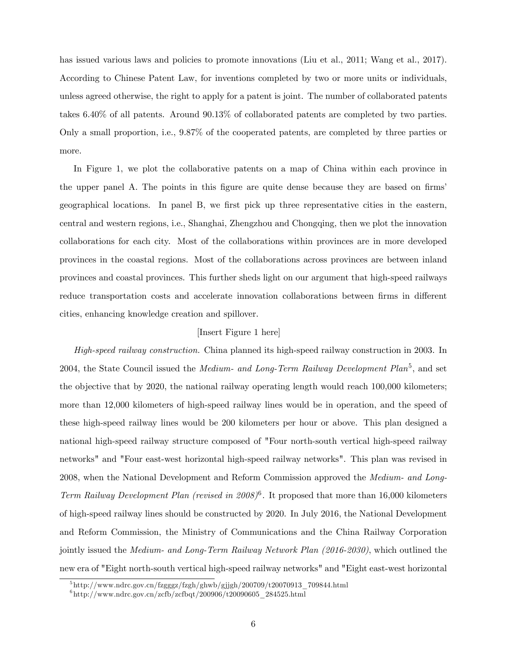has issued various laws and policies to promote innovations (Liu et al., 2011; Wang et al., 2017). According to Chinese Patent Law, for inventions completed by two or more units or individuals, unless agreed otherwise, the right to apply for a patent is joint. The number of collaborated patents takes 6.40% of all patents. Around 90.13% of collaborated patents are completed by two parties. Only a small proportion, i.e., 9.87% of the cooperated patents, are completed by three parties or more.

In Figure 1, we plot the collaborative patents on a map of China within each province in the upper panel A. The points in this figure are quite dense because they are based on firms' geographical locations. In panel B, we first pick up three representative cities in the eastern, central and western regions, i.e., Shanghai, Zhengzhou and Chongqing, then we plot the innovation collaborations for each city. Most of the collaborations within provinces are in more developed provinces in the coastal regions. Most of the collaborations across provinces are between inland provinces and coastal provinces. This further sheds light on our argument that high-speed railways reduce transportation costs and accelerate innovation collaborations between firms in different cities, enhancing knowledge creation and spillover.

# [Insert Figure 1 here]

High-speed railway construction. China planned its high-speed railway construction in 2003. In 2004, the State Council issued the *Medium- and Long-Term Railway Development Plan*<sup>5</sup>, and set the objective that by 2020, the national railway operating length would reach 100,000 kilometers; more than 12,000 kilometers of high-speed railway lines would be in operation, and the speed of these high-speed railway lines would be 200 kilometers per hour or above. This plan designed a national high-speed railway structure composed of "Four north-south vertical high-speed railway networks" and "Four east-west horizontal high-speed railway networks". This plan was revised in 2008, when the National Development and Reform Commission approved the Medium- and Long-Term Railway Development Plan (revised in 2008)<sup>6</sup>. It proposed that more than 16,000 kilometers of high-speed railway lines should be constructed by 2020. In July 2016, the National Development and Reform Commission, the Ministry of Communications and the China Railway Corporation jointly issued the Medium- and Long-Term Railway Network Plan (2016-2030), which outlined the new era of "Eight north-south vertical high-speed railway networks" and "Eight east-west horizontal

 $^{5}$ http://www.ndrc.gov.cn/fzgggz/fzgh/ghwb/gjjgh/200709/t20070913\_709844.html

 $^6$ http://www.ndrc.gov.cn/zcfb/zcfbqt/200906/t20090605\_284525.html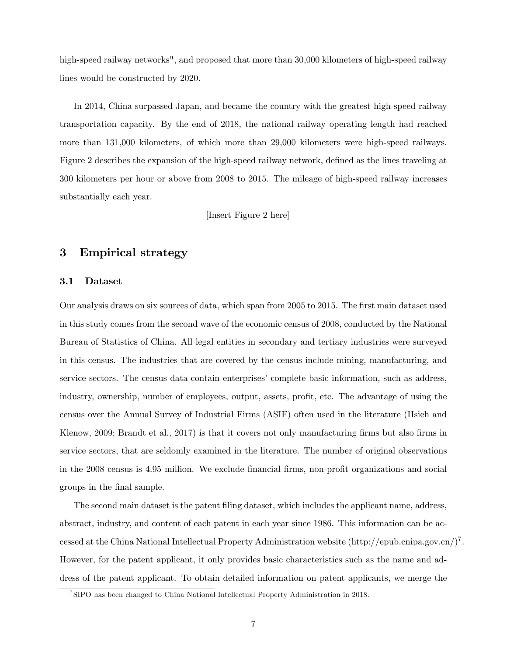high-speed railway networks", and proposed that more than 30,000 kilometers of high-speed railway lines would be constructed by 2020.

In 2014, China surpassed Japan, and became the country with the greatest high-speed railway transportation capacity. By the end of 2018, the national railway operating length had reached more than 131,000 kilometers, of which more than 29,000 kilometers were high-speed railways. Figure 2 describes the expansion of the high-speed railway network, defined as the lines traveling at 300 kilometers per hour or above from 2008 to 2015. The mileage of high-speed railway increases substantially each year.

[Insert Figure 2 here]

# 3 Empirical strategy

#### 3.1 Dataset

Our analysis draws on six sources of data, which span from 2005 to 2015. The first main dataset used in this study comes from the second wave of the economic census of 2008, conducted by the National Bureau of Statistics of China. All legal entities in secondary and tertiary industries were surveyed in this census. The industries that are covered by the census include mining, manufacturing, and service sectors. The census data contain enterprises' complete basic information, such as address, industry, ownership, number of employees, output, assets, profit, etc. The advantage of using the census over the Annual Survey of Industrial Firms (ASIF) often used in the literature (Hsieh and Klenow, 2009; Brandt et al., 2017) is that it covers not only manufacturing firms but also firms in service sectors, that are seldomly examined in the literature. The number of original observations in the 2008 census is 4.95 million. We exclude financial firms, non-profit organizations and social groups in the final sample.

The second main dataset is the patent filing dataset, which includes the applicant name, address, abstract, industry, and content of each patent in each year since 1986. This information can be accessed at the China National Intellectual Property Administration website  $(\text{http://epub.cnipa.gov.cn/})^7$ . However, for the patent applicant, it only provides basic characteristics such as the name and address of the patent applicant. To obtain detailed information on patent applicants, we merge the

<sup>7</sup> SIPO has been changed to China National Intellectual Property Administration in 2018.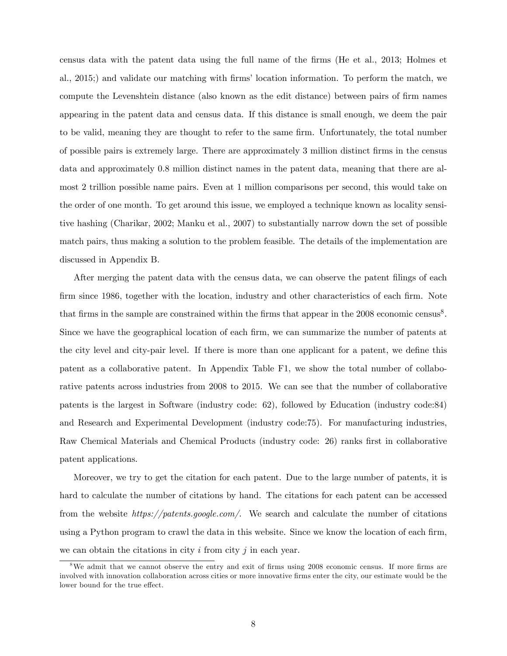census data with the patent data using the full name of the Örms (He et al., 2013; Holmes et al., 2015;) and validate our matching with firms' location information. To perform the match, we compute the Levenshtein distance (also known as the edit distance) between pairs of firm names appearing in the patent data and census data. If this distance is small enough, we deem the pair to be valid, meaning they are thought to refer to the same firm. Unfortunately, the total number of possible pairs is extremely large. There are approximately 3 million distinct Örms in the census data and approximately 0.8 million distinct names in the patent data, meaning that there are almost 2 trillion possible name pairs. Even at 1 million comparisons per second, this would take on the order of one month. To get around this issue, we employed a technique known as locality sensitive hashing (Charikar, 2002; Manku et al., 2007) to substantially narrow down the set of possible match pairs, thus making a solution to the problem feasible. The details of the implementation are discussed in Appendix B.

After merging the patent data with the census data, we can observe the patent filings of each firm since 1986, together with the location, industry and other characteristics of each firm. Note that firms in the sample are constrained within the firms that appear in the 2008 economic census<sup>8</sup>. Since we have the geographical location of each firm, we can summarize the number of patents at the city level and city-pair level. If there is more than one applicant for a patent, we define this patent as a collaborative patent. In Appendix Table F1, we show the total number of collaborative patents across industries from 2008 to 2015. We can see that the number of collaborative patents is the largest in Software (industry code: 62), followed by Education (industry code:84) and Research and Experimental Development (industry code:75). For manufacturing industries, Raw Chemical Materials and Chemical Products (industry code: 26) ranks first in collaborative patent applications.

Moreover, we try to get the citation for each patent. Due to the large number of patents, it is hard to calculate the number of citations by hand. The citations for each patent can be accessed from the website https://patents.google.com/. We search and calculate the number of citations using a Python program to crawl the data in this website. Since we know the location of each firm, we can obtain the citations in city  $i$  from city  $j$  in each year.

 $8\text{We admit that we cannot observe the entry and exit of firms using 2008 economic census. If more firms are$ involved with innovation collaboration across cities or more innovative firms enter the city, our estimate would be the lower bound for the true effect.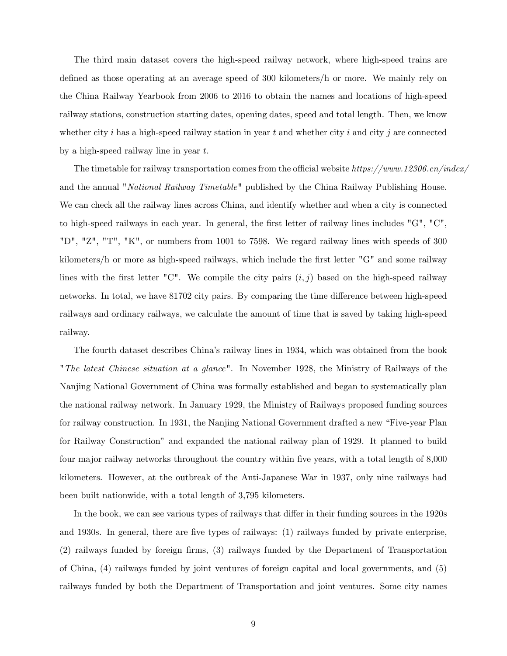The third main dataset covers the high-speed railway network, where high-speed trains are defined as those operating at an average speed of 300 kilometers/h or more. We mainly rely on the China Railway Yearbook from 2006 to 2016 to obtain the names and locations of high-speed railway stations, construction starting dates, opening dates, speed and total length. Then, we know whether city i has a high-speed railway station in year t and whether city i and city j are connected by a high-speed railway line in year  $t$ .

The timetable for railway transportation comes from the official website https://www.12306.cn/index/ and the annual "National Railway Timetable" published by the China Railway Publishing House. We can check all the railway lines across China, and identify whether and when a city is connected to high-speed railways in each year. In general, the first letter of railway lines includes "G", "C", "D", "Z", "T", "K", or numbers from 1001 to 7598. We regard railway lines with speeds of 300 kilometers/h or more as high-speed railways, which include the first letter "G" and some railway lines with the first letter "C". We compile the city pairs  $(i, j)$  based on the high-speed railway networks. In total, we have 81702 city pairs. By comparing the time difference between high-speed railways and ordinary railways, we calculate the amount of time that is saved by taking high-speed railway.

The fourth dataset describes Chinaís railway lines in 1934, which was obtained from the book "The latest Chinese situation at a glance". In November 1928, the Ministry of Railways of the Nanjing National Government of China was formally established and began to systematically plan the national railway network. In January 1929, the Ministry of Railways proposed funding sources for railway construction. In 1931, the Nanjing National Government drafted a new "Five-year Plan for Railway Constructionî and expanded the national railway plan of 1929. It planned to build four major railway networks throughout the country within five years, with a total length of 8,000 kilometers. However, at the outbreak of the Anti-Japanese War in 1937, only nine railways had been built nationwide, with a total length of 3,795 kilometers.

In the book, we can see various types of railways that differ in their funding sources in the 1920s and 1930s. In general, there are Öve types of railways: (1) railways funded by private enterprise,  $(2)$  railways funded by foreign firms,  $(3)$  railways funded by the Department of Transportation of China, (4) railways funded by joint ventures of foreign capital and local governments, and (5) railways funded by both the Department of Transportation and joint ventures. Some city names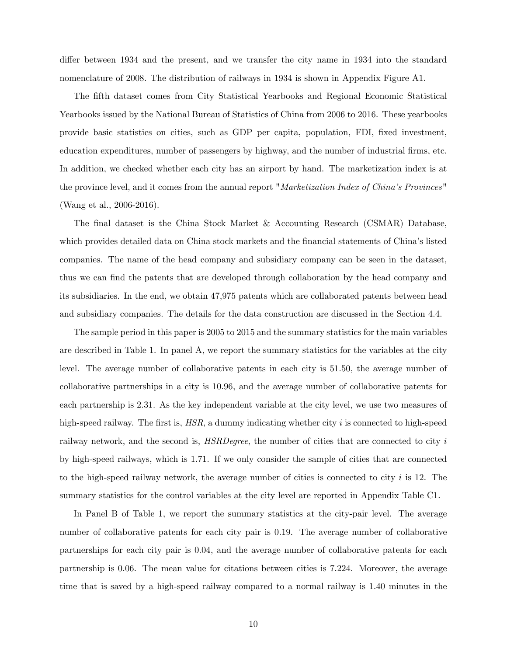differ between 1934 and the present, and we transfer the city name in 1934 into the standard nomenclature of 2008. The distribution of railways in 1934 is shown in Appendix Figure A1.

The Öfth dataset comes from City Statistical Yearbooks and Regional Economic Statistical Yearbooks issued by the National Bureau of Statistics of China from 2006 to 2016. These yearbooks provide basic statistics on cities, such as GDP per capita, population, FDI, Öxed investment, education expenditures, number of passengers by highway, and the number of industrial firms, etc. In addition, we checked whether each city has an airport by hand. The marketization index is at the province level, and it comes from the annual report "Marketization Index of China's Provinces" (Wang et al., 2006-2016).

The final dataset is the China Stock Market & Accounting Research (CSMAR) Database, which provides detailed data on China stock markets and the financial statements of China's listed companies. The name of the head company and subsidiary company can be seen in the dataset, thus we can find the patents that are developed through collaboration by the head company and its subsidiaries. In the end, we obtain 47,975 patents which are collaborated patents between head and subsidiary companies. The details for the data construction are discussed in the Section 4.4.

The sample period in this paper is 2005 to 2015 and the summary statistics for the main variables are described in Table 1. In panel A, we report the summary statistics for the variables at the city level. The average number of collaborative patents in each city is 51.50, the average number of collaborative partnerships in a city is 10.96, and the average number of collaborative patents for each partnership is 2.31. As the key independent variable at the city level, we use two measures of high-speed railway. The first is,  $HSR$ , a dummy indicating whether city i is connected to high-speed railway network, and the second is, *HSRDegree*, the number of cities that are connected to city i by high-speed railways, which is 1.71. If we only consider the sample of cities that are connected to the high-speed railway network, the average number of cities is connected to city  $i$  is 12. The summary statistics for the control variables at the city level are reported in Appendix Table C1.

In Panel B of Table 1, we report the summary statistics at the city-pair level. The average number of collaborative patents for each city pair is 0.19. The average number of collaborative partnerships for each city pair is 0.04, and the average number of collaborative patents for each partnership is 0.06. The mean value for citations between cities is 7.224. Moreover, the average time that is saved by a high-speed railway compared to a normal railway is 1.40 minutes in the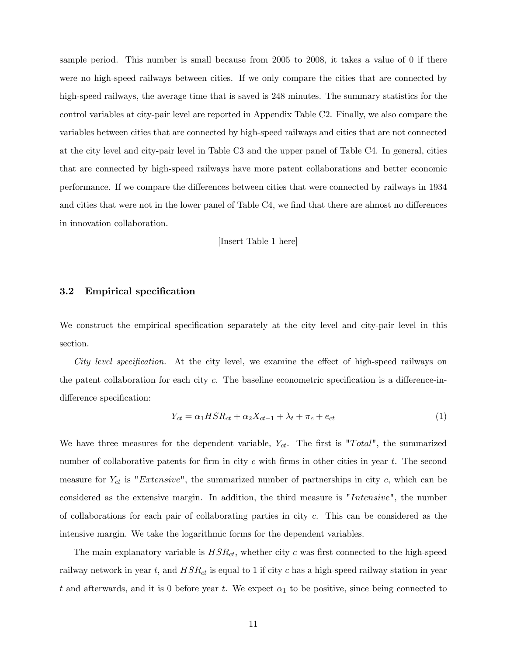sample period. This number is small because from 2005 to 2008, it takes a value of 0 if there were no high-speed railways between cities. If we only compare the cities that are connected by high-speed railways, the average time that is saved is 248 minutes. The summary statistics for the control variables at city-pair level are reported in Appendix Table C2. Finally, we also compare the variables between cities that are connected by high-speed railways and cities that are not connected at the city level and city-pair level in Table C3 and the upper panel of Table C4. In general, cities that are connected by high-speed railways have more patent collaborations and better economic performance. If we compare the differences between cities that were connected by railways in 1934 and cities that were not in the lower panel of Table C4, we find that there are almost no differences in innovation collaboration.

[Insert Table 1 here]

## 3.2 Empirical specification

We construct the empirical specification separately at the city level and city-pair level in this section.

City level specification. At the city level, we examine the effect of high-speed railways on the patent collaboration for each city  $c$ . The baseline econometric specification is a difference-indifference specification:

$$
Y_{ct} = \alpha_1 H S R_{ct} + \alpha_2 X_{ct-1} + \lambda_t + \pi_c + e_{ct}
$$
\n<sup>(1)</sup>

We have three measures for the dependent variable,  $Y_{ct}$ . The first is "Total", the summarized number of collaborative patents for firm in city c with firms in other cities in year  $t$ . The second measure for  $Y_{ct}$  is "Extensive", the summarized number of partnerships in city c, which can be considered as the extensive margin. In addition, the third measure is "Intensive", the number of collaborations for each pair of collaborating parties in city c. This can be considered as the intensive margin. We take the logarithmic forms for the dependent variables.

The main explanatory variable is  $HSR_{ct}$ , whether city c was first connected to the high-speed railway network in year t, and  $HSR_{ct}$  is equal to 1 if city c has a high-speed railway station in year t and afterwards, and it is 0 before year t. We expect  $\alpha_1$  to be positive, since being connected to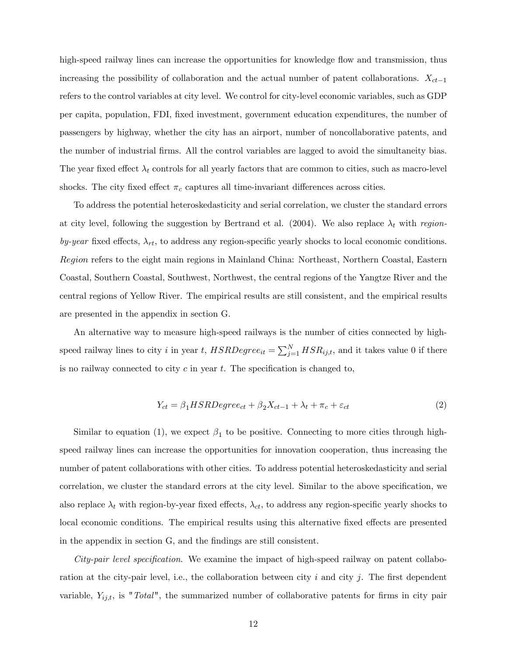high-speed railway lines can increase the opportunities for knowledge flow and transmission, thus increasing the possibility of collaboration and the actual number of patent collaborations.  $X_{ct-1}$ refers to the control variables at city level. We control for city-level economic variables, such as GDP per capita, population, FDI, Öxed investment, government education expenditures, the number of passengers by highway, whether the city has an airport, number of noncollaborative patents, and the number of industrial Örms. All the control variables are lagged to avoid the simultaneity bias. The year fixed effect  $\lambda_t$  controls for all yearly factors that are common to cities, such as macro-level shocks. The city fixed effect  $\pi_c$  captures all time-invariant differences across cities.

To address the potential heteroskedasticity and serial correlation, we cluster the standard errors at city level, following the suggestion by Bertrand et al. (2004). We also replace  $\lambda_t$  with regionby-year fixed effects,  $\lambda_{rt}$ , to address any region-specific yearly shocks to local economic conditions. Region refers to the eight main regions in Mainland China: Northeast, Northern Coastal, Eastern Coastal, Southern Coastal, Southwest, Northwest, the central regions of the Yangtze River and the central regions of Yellow River. The empirical results are still consistent, and the empirical results are presented in the appendix in section G.

An alternative way to measure high-speed railways is the number of cities connected by highspeed railway lines to city i in year t,  $HSRDegree_{it} = \sum_{j=1}^{N} HSR_{ij,t}$ , and it takes value 0 if there is no railway connected to city  $c$  in year  $t$ . The specification is changed to,

$$
Y_{ct} = \beta_1 HSRDegree_{ct} + \beta_2 X_{ct-1} + \lambda_t + \pi_c + \varepsilon_{ct}
$$
\n(2)

Similar to equation (1), we expect  $\beta_1$  to be positive. Connecting to more cities through highspeed railway lines can increase the opportunities for innovation cooperation, thus increasing the number of patent collaborations with other cities. To address potential heteroskedasticity and serial correlation, we cluster the standard errors at the city level. Similar to the above specification, we also replace  $\lambda_t$  with region-by-year fixed effects,  $\lambda_{ct}$ , to address any region-specific yearly shocks to local economic conditions. The empirical results using this alternative fixed effects are presented in the appendix in section G, and the findings are still consistent.

City-pair level specification. We examine the impact of high-speed railway on patent collaboration at the city-pair level, i.e., the collaboration between city  $i$  and city  $j$ . The first dependent variable,  $Y_{ij,t}$ , is "Total", the summarized number of collaborative patents for firms in city pair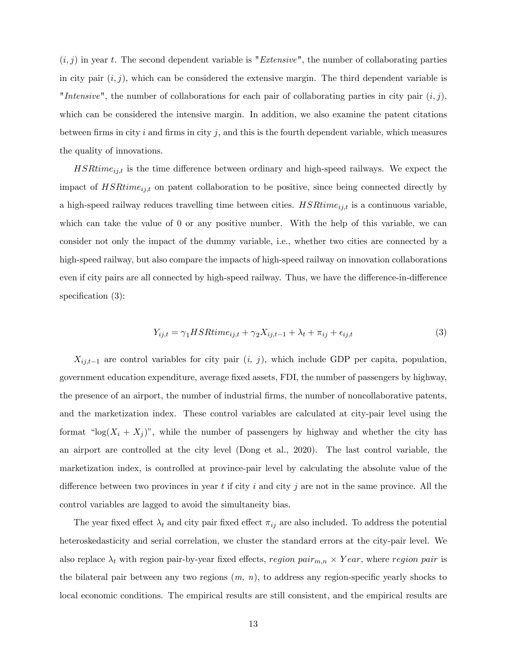$(i, j)$  in year t. The second dependent variable is "Extensive", the number of collaborating parties in city pair  $(i, j)$ , which can be considered the extensive margin. The third dependent variable is "Intensive", the number of collaborations for each pair of collaborating parties in city pair  $(i, j)$ , which can be considered the intensive margin. In addition, we also examine the patent citations between firms in city i and firms in city j, and this is the fourth dependent variable, which measures the quality of innovations.

 $HSHime<sub>ij,t</sub>$  is the time difference between ordinary and high-speed railways. We expect the impact of  $HSRtime_{ij,t}$  on patent collaboration to be positive, since being connected directly by a high-speed railway reduces travelling time between cities.  $HSRtime_{ij,t}$  is a continuous variable, which can take the value of 0 or any positive number. With the help of this variable, we can consider not only the impact of the dummy variable, i.e., whether two cities are connected by a high-speed railway, but also compare the impacts of high-speed railway on innovation collaborations even if city pairs are all connected by high-speed railway. Thus, we have the difference-in-difference specification  $(3)$ :

$$
Y_{ij,t} = \gamma_1 HSR time_{ij,t} + \gamma_2 X_{ij,t-1} + \lambda_t + \pi_{ij} + \epsilon_{ij,t}
$$
\n(3)

 $X_{ij,t-1}$  are control variables for city pair  $(i, j)$ , which include GDP per capita, population, government education expenditure, average Öxed assets, FDI, the number of passengers by highway, the presence of an airport, the number of industrial firms, the number of noncollaborative patents, and the marketization index. These control variables are calculated at city-pair level using the format " $log(X_i + X_j)$ ", while the number of passengers by highway and whether the city has an airport are controlled at the city level (Dong et al., 2020). The last control variable, the marketization index, is controlled at province-pair level by calculating the absolute value of the difference between two provinces in year t if city i and city j are not in the same province. All the control variables are lagged to avoid the simultaneity bias.

The year fixed effect  $\lambda_t$  and city pair fixed effect  $\pi_{ij}$  are also included. To address the potential heteroskedasticity and serial correlation, we cluster the standard errors at the city-pair level. We also replace  $\lambda_t$  with region pair-by-year fixed effects, region  $pair_{m,n} \times Year$ , where region pair is the bilateral pair between any two regions  $(m, n)$ , to address any region-specific yearly shocks to local economic conditions. The empirical results are still consistent, and the empirical results are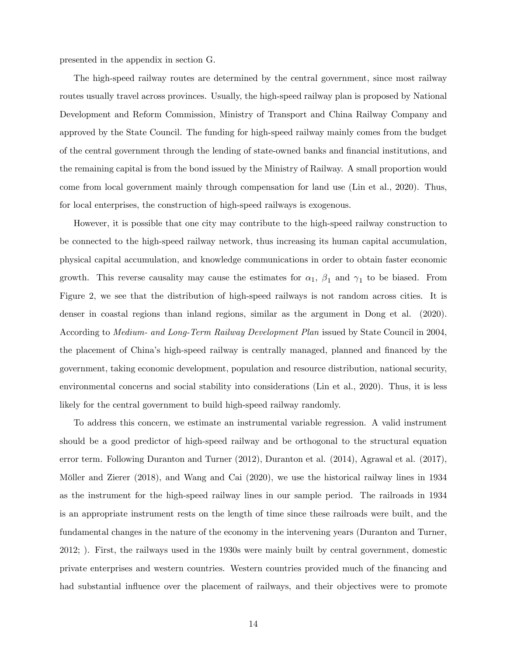presented in the appendix in section G.

The high-speed railway routes are determined by the central government, since most railway routes usually travel across provinces. Usually, the high-speed railway plan is proposed by National Development and Reform Commission, Ministry of Transport and China Railway Company and approved by the State Council. The funding for high-speed railway mainly comes from the budget of the central government through the lending of state-owned banks and financial institutions, and the remaining capital is from the bond issued by the Ministry of Railway. A small proportion would come from local government mainly through compensation for land use (Lin et al., 2020). Thus, for local enterprises, the construction of high-speed railways is exogenous.

However, it is possible that one city may contribute to the high-speed railway construction to be connected to the high-speed railway network, thus increasing its human capital accumulation, physical capital accumulation, and knowledge communications in order to obtain faster economic growth. This reverse causality may cause the estimates for  $\alpha_1$ ,  $\beta_1$  and  $\gamma_1$  to be biased. From Figure 2, we see that the distribution of high-speed railways is not random across cities. It is denser in coastal regions than inland regions, similar as the argument in Dong et al. (2020). According to Medium- and Long-Term Railway Development Plan issued by State Council in 2004, the placement of China's high-speed railway is centrally managed, planned and financed by the government, taking economic development, population and resource distribution, national security, environmental concerns and social stability into considerations (Lin et al., 2020). Thus, it is less likely for the central government to build high-speed railway randomly.

To address this concern, we estimate an instrumental variable regression. A valid instrument should be a good predictor of high-speed railway and be orthogonal to the structural equation error term. Following Duranton and Turner (2012), Duranton et al. (2014), Agrawal et al. (2017), Möller and Zierer (2018), and Wang and Cai (2020), we use the historical railway lines in 1934 as the instrument for the high-speed railway lines in our sample period. The railroads in 1934 is an appropriate instrument rests on the length of time since these railroads were built, and the fundamental changes in the nature of the economy in the intervening years (Duranton and Turner, 2012; ). First, the railways used in the 1930s were mainly built by central government, domestic private enterprises and western countries. Western countries provided much of the financing and had substantial influence over the placement of railways, and their objectives were to promote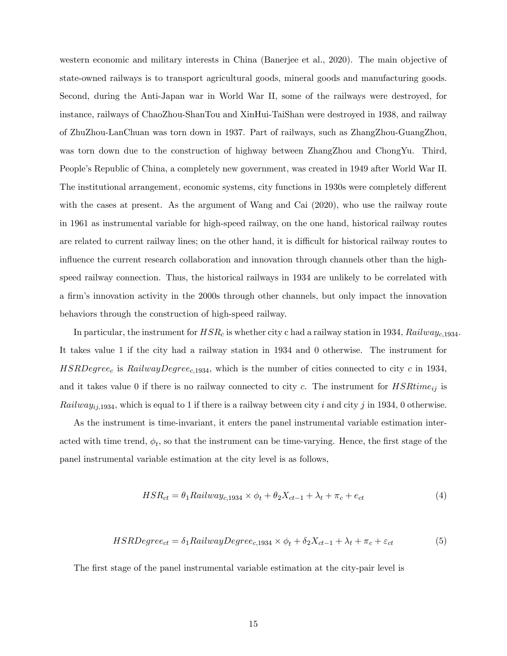western economic and military interests in China (Banerjee et al., 2020). The main objective of state-owned railways is to transport agricultural goods, mineral goods and manufacturing goods. Second, during the Anti-Japan war in World War II, some of the railways were destroyed, for instance, railways of ChaoZhou-ShanTou and XinHui-TaiShan were destroyed in 1938, and railway of ZhuZhou-LanChuan was torn down in 1937. Part of railways, such as ZhangZhou-GuangZhou, was torn down due to the construction of highway between ZhangZhou and ChongYu. Third, People's Republic of China, a completely new government, was created in 1949 after World War II. The institutional arrangement, economic systems, city functions in 1930s were completely different with the cases at present. As the argument of Wang and Cai  $(2020)$ , who use the railway route in 1961 as instrumental variable for high-speed railway, on the one hand, historical railway routes are related to current railway lines; on the other hand, it is difficult for historical railway routes to influence the current research collaboration and innovation through channels other than the highspeed railway connection. Thus, the historical railways in 1934 are unlikely to be correlated with a firm's innovation activity in the 2000s through other channels, but only impact the innovation behaviors through the construction of high-speed railway.

In particular, the instrument for  $HSR_c$  is whether city c had a railway station in 1934,  $Rainway_{c,1934}$ It takes value 1 if the city had a railway station in 1934 and 0 otherwise. The instrument for  $HSRDegree_c$  is RailwayDegree<sub>c,1934</sub>, which is the number of cities connected to city c in 1934, and it takes value 0 if there is no railway connected to city c. The instrument for  $HSRtime_{ij}$  is Railway<sub>ij,1934</sub>, which is equal to 1 if there is a railway between city i and city j in 1934, 0 otherwise.

As the instrument is time-invariant, it enters the panel instrumental variable estimation interacted with time trend,  $\phi_t$ , so that the instrument can be time-varying. Hence, the first stage of the panel instrumental variable estimation at the city level is as follows,

$$
HSR_{ct} = \theta_1 Railway_{c,1934} \times \phi_t + \theta_2 X_{ct-1} + \lambda_t + \pi_c + e_{ct}
$$
\n<sup>(4)</sup>

$$
HSRDegree_{ct} = \delta_1 RailwayDegree_{c,1934} \times \phi_t + \delta_2 X_{ct-1} + \lambda_t + \pi_c + \varepsilon_{ct}
$$
\n
$$
\tag{5}
$$

The first stage of the panel instrumental variable estimation at the city-pair level is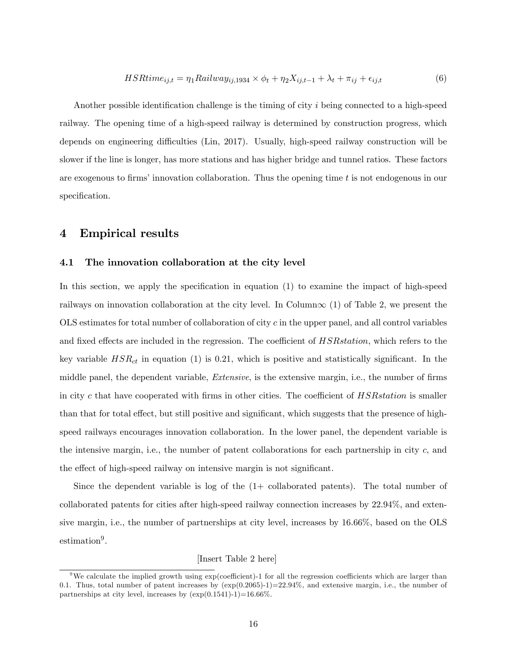$$
HSRtime_{ij,t} = \eta_1 Railway_{ij,1934} \times \phi_t + \eta_2 X_{ij,t-1} + \lambda_t + \pi_{ij} + \epsilon_{ij,t}
$$
(6)

Another possible identification challenge is the timing of city  $i$  being connected to a high-speed railway. The opening time of a high-speed railway is determined by construction progress, which depends on engineering difficulties (Lin, 2017). Usually, high-speed railway construction will be slower if the line is longer, has more stations and has higher bridge and tunnel ratios. These factors are exogenous to firms' innovation collaboration. Thus the opening time  $t$  is not endogenous in our specification.

# 4 Empirical results

#### 4.1 The innovation collaboration at the city level

In this section, we apply the specification in equation  $(1)$  to examine the impact of high-speed railways on innovation collaboration at the city level. In Column $\infty$  (1) of Table 2, we present the  $OLS$  estimates for total number of collaboration of city c in the upper panel, and all control variables and fixed effects are included in the regression. The coefficient of  $HSR station$ , which refers to the key variable  $HSR<sub>ct</sub>$  in equation (1) is 0.21, which is positive and statistically significant. In the middle panel, the dependent variable, *Extensive*, is the extensive margin, i.e., the number of firms in city c that have cooperated with firms in other cities. The coefficient of  $HSR station$  is smaller than that for total effect, but still positive and significant, which suggests that the presence of highspeed railways encourages innovation collaboration. In the lower panel, the dependent variable is the intensive margin, i.e., the number of patent collaborations for each partnership in city  $c$ , and the effect of high-speed railway on intensive margin is not significant.

Since the dependent variable is log of the (1+ collaborated patents). The total number of collaborated patents for cities after high-speed railway connection increases by 22.94%, and extensive margin, i.e., the number of partnerships at city level, increases by 16.66%, based on the OLS estimation<sup>9</sup>.

[Insert Table 2 here]

<sup>&</sup>lt;sup>9</sup>We calculate the implied growth using  $\exp(\text{coefficient})$ -1 for all the regression coefficients which are larger than 0.1. Thus, total number of patent increases by  $(\exp(0.2065)-1)=22.94\%$ , and extensive margin, i.e., the number of partnerships at city level, increases by  $(\exp(0.1541)-1)=16.66\%$ .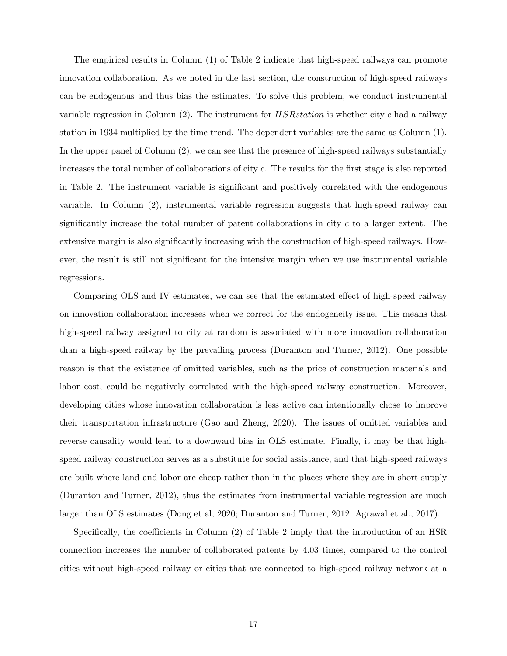The empirical results in Column (1) of Table 2 indicate that high-speed railways can promote innovation collaboration. As we noted in the last section, the construction of high-speed railways can be endogenous and thus bias the estimates. To solve this problem, we conduct instrumental variable regression in Column  $(2)$ . The instrument for *HSRstation* is whether city c had a railway station in 1934 multiplied by the time trend. The dependent variables are the same as Column (1). In the upper panel of Column (2), we can see that the presence of high-speed railways substantially increases the total number of collaborations of city  $c$ . The results for the first stage is also reported in Table 2. The instrument variable is significant and positively correlated with the endogenous variable. In Column (2), instrumental variable regression suggests that high-speed railway can significantly increase the total number of patent collaborations in city  $c$  to a larger extent. The extensive margin is also significantly increasing with the construction of high-speed railways. However, the result is still not significant for the intensive margin when we use instrumental variable regressions.

Comparing OLS and IV estimates, we can see that the estimated effect of high-speed railway on innovation collaboration increases when we correct for the endogeneity issue. This means that high-speed railway assigned to city at random is associated with more innovation collaboration than a high-speed railway by the prevailing process (Duranton and Turner, 2012). One possible reason is that the existence of omitted variables, such as the price of construction materials and labor cost, could be negatively correlated with the high-speed railway construction. Moreover, developing cities whose innovation collaboration is less active can intentionally chose to improve their transportation infrastructure (Gao and Zheng, 2020). The issues of omitted variables and reverse causality would lead to a downward bias in OLS estimate. Finally, it may be that highspeed railway construction serves as a substitute for social assistance, and that high-speed railways are built where land and labor are cheap rather than in the places where they are in short supply (Duranton and Turner, 2012), thus the estimates from instrumental variable regression are much larger than OLS estimates (Dong et al, 2020; Duranton and Turner, 2012; Agrawal et al., 2017).

Specifically, the coefficients in Column  $(2)$  of Table 2 imply that the introduction of an HSR connection increases the number of collaborated patents by 4.03 times, compared to the control cities without high-speed railway or cities that are connected to high-speed railway network at a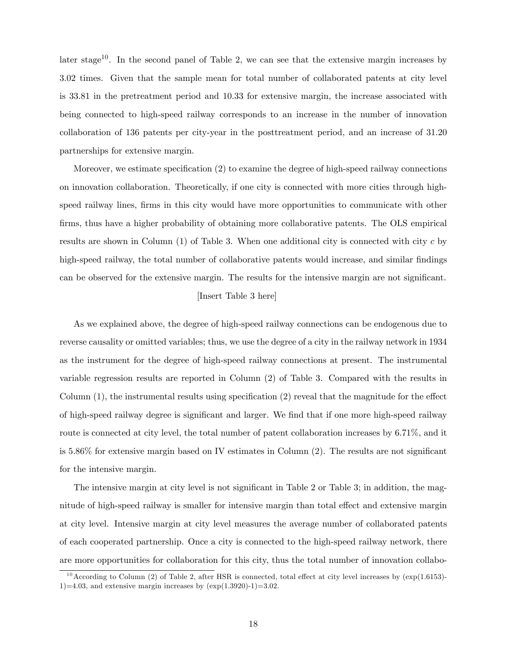later stage<sup>10</sup>. In the second panel of Table 2, we can see that the extensive margin increases by 3.02 times. Given that the sample mean for total number of collaborated patents at city level is 33.81 in the pretreatment period and 10.33 for extensive margin, the increase associated with being connected to high-speed railway corresponds to an increase in the number of innovation collaboration of 136 patents per city-year in the posttreatment period, and an increase of 31.20 partnerships for extensive margin.

Moreover, we estimate specification  $(2)$  to examine the degree of high-speed railway connections on innovation collaboration. Theoretically, if one city is connected with more cities through highspeed railway lines, firms in this city would have more opportunities to communicate with other firms, thus have a higher probability of obtaining more collaborative patents. The OLS empirical results are shown in Column  $(1)$  of Table 3. When one additional city is connected with city c by high-speed railway, the total number of collaborative patents would increase, and similar findings can be observed for the extensive margin. The results for the intensive margin are not significant.

## [Insert Table 3 here]

As we explained above, the degree of high-speed railway connections can be endogenous due to reverse causality or omitted variables; thus, we use the degree of a city in the railway network in 1934 as the instrument for the degree of high-speed railway connections at present. The instrumental variable regression results are reported in Column (2) of Table 3. Compared with the results in Column  $(1)$ , the instrumental results using specification  $(2)$  reveal that the magnitude for the effect of high-speed railway degree is significant and larger. We find that if one more high-speed railway route is connected at city level, the total number of patent collaboration increases by 6.71%, and it is  $5.86\%$  for extensive margin based on IV estimates in Column  $(2)$ . The results are not significant for the intensive margin.

The intensive margin at city level is not significant in Table 2 or Table 3; in addition, the magnitude of high-speed railway is smaller for intensive margin than total effect and extensive margin at city level. Intensive margin at city level measures the average number of collaborated patents of each cooperated partnership. Once a city is connected to the high-speed railway network, there are more opportunities for collaboration for this city, thus the total number of innovation collabo-

 $10$  According to Column (2) of Table 2, after HSR is connected, total effect at city level increases by (exp(1.6153)-1)=4.03, and extensive margin increases by  $(\exp(1.3920)-1)=3.02$ .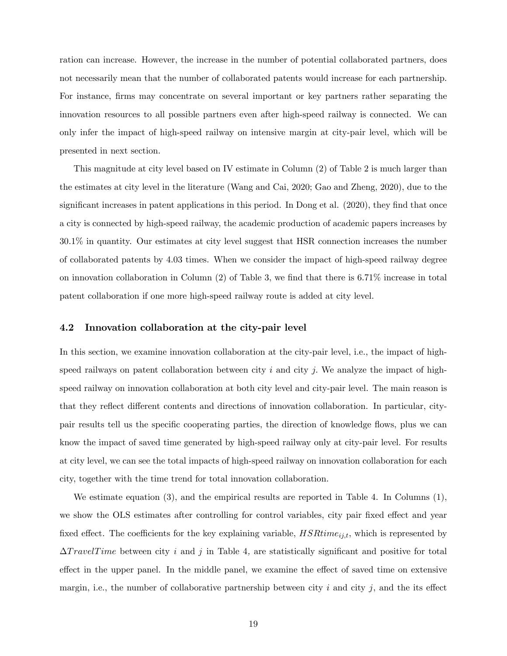ration can increase. However, the increase in the number of potential collaborated partners, does not necessarily mean that the number of collaborated patents would increase for each partnership. For instance, firms may concentrate on several important or key partners rather separating the innovation resources to all possible partners even after high-speed railway is connected. We can only infer the impact of high-speed railway on intensive margin at city-pair level, which will be presented in next section.

This magnitude at city level based on IV estimate in Column (2) of Table 2 is much larger than the estimates at city level in the literature (Wang and Cai, 2020; Gao and Zheng, 2020), due to the significant increases in patent applications in this period. In Dong et al.  $(2020)$ , they find that once a city is connected by high-speed railway, the academic production of academic papers increases by 30.1% in quantity. Our estimates at city level suggest that HSR connection increases the number of collaborated patents by 4.03 times. When we consider the impact of high-speed railway degree on innovation collaboration in Column  $(2)$  of Table 3, we find that there is 6.71% increase in total patent collaboration if one more high-speed railway route is added at city level.

#### 4.2 Innovation collaboration at the city-pair level

In this section, we examine innovation collaboration at the city-pair level, i.e., the impact of highspeed railways on patent collaboration between city  $i$  and city  $j$ . We analyze the impact of highspeed railway on innovation collaboration at both city level and city-pair level. The main reason is that they reflect different contents and directions of innovation collaboration. In particular, citypair results tell us the specific cooperating parties, the direction of knowledge flows, plus we can know the impact of saved time generated by high-speed railway only at city-pair level. For results at city level, we can see the total impacts of high-speed railway on innovation collaboration for each city, together with the time trend for total innovation collaboration.

We estimate equation (3), and the empirical results are reported in Table 4. In Columns (1), we show the OLS estimates after controlling for control variables, city pair fixed effect and year fixed effect. The coefficients for the key explaining variable,  $HSRtime_{ij,t}$ , which is represented by  $\Delta TravelTime$  between city i and j in Table 4, are statistically significant and positive for total effect in the upper panel. In the middle panel, we examine the effect of saved time on extensive margin, i.e., the number of collaborative partnership between city i and city j, and the its effect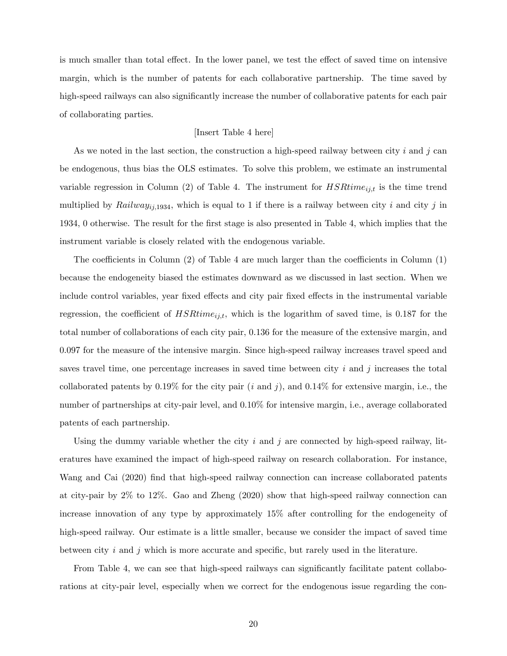is much smaller than total effect. In the lower panel, we test the effect of saved time on intensive margin, which is the number of patents for each collaborative partnership. The time saved by high-speed railways can also significantly increase the number of collaborative patents for each pair of collaborating parties.

## [Insert Table 4 here]

As we noted in the last section, the construction a high-speed railway between city i and j can be endogenous, thus bias the OLS estimates. To solve this problem, we estimate an instrumental variable regression in Column (2) of Table 4. The instrument for  $HSRtime_{ij,t}$  is the time trend multiplied by Railway<sub>ij</sub>,1934, which is equal to 1 if there is a railway between city i and city j in 1934, 0 otherwise. The result for the Örst stage is also presented in Table 4, which implies that the instrument variable is closely related with the endogenous variable.

The coefficients in Column  $(2)$  of Table 4 are much larger than the coefficients in Column  $(1)$ because the endogeneity biased the estimates downward as we discussed in last section. When we include control variables, year fixed effects and city pair fixed effects in the instrumental variable regression, the coefficient of  $HSRtime_{ij,t}$ , which is the logarithm of saved time, is 0.187 for the total number of collaborations of each city pair, 0.136 for the measure of the extensive margin, and 0.097 for the measure of the intensive margin. Since high-speed railway increases travel speed and saves travel time, one percentage increases in saved time between city  $i$  and  $j$  increases the total collaborated patents by  $0.19\%$  for the city pair (*i* and *j*), and  $0.14\%$  for extensive margin, i.e., the number of partnerships at city-pair level, and 0.10% for intensive margin, i.e., average collaborated patents of each partnership.

Using the dummy variable whether the city  $i$  and  $j$  are connected by high-speed railway, literatures have examined the impact of high-speed railway on research collaboration. For instance, Wang and Cai (2020) find that high-speed railway connection can increase collaborated patents at city-pair by 2% to 12%. Gao and Zheng (2020) show that high-speed railway connection can increase innovation of any type by approximately 15% after controlling for the endogeneity of high-speed railway. Our estimate is a little smaller, because we consider the impact of saved time between city  $i$  and  $j$  which is more accurate and specific, but rarely used in the literature.

From Table 4, we can see that high-speed railways can significantly facilitate patent collaborations at city-pair level, especially when we correct for the endogenous issue regarding the con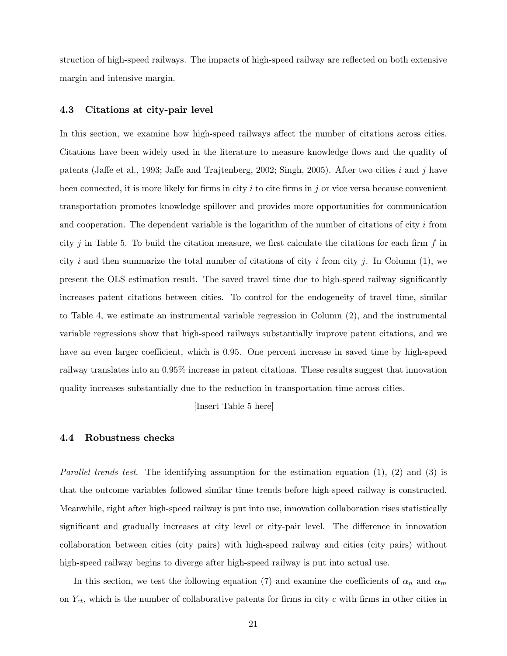struction of high-speed railways. The impacts of high-speed railway are reflected on both extensive margin and intensive margin.

#### 4.3 Citations at city-pair level

In this section, we examine how high-speed railways affect the number of citations across cities. Citations have been widely used in the literature to measure knowledge flows and the quality of patents (Jaffe et al., 1993; Jaffe and Trajtenberg, 2002; Singh, 2005). After two cities i and j have been connected, it is more likely for firms in city i to cite firms in j or vice versa because convenient transportation promotes knowledge spillover and provides more opportunities for communication and cooperation. The dependent variable is the logarithm of the number of citations of city  $i$  from city j in Table 5. To build the citation measure, we first calculate the citations for each firm f in city i and then summarize the total number of citations of city i from city j. In Column  $(1)$ , we present the OLS estimation result. The saved travel time due to high-speed railway significantly increases patent citations between cities. To control for the endogeneity of travel time, similar to Table 4, we estimate an instrumental variable regression in Column (2), and the instrumental variable regressions show that high-speed railways substantially improve patent citations, and we have an even larger coefficient, which is 0.95. One percent increase in saved time by high-speed railway translates into an 0.95% increase in patent citations. These results suggest that innovation quality increases substantially due to the reduction in transportation time across cities.

[Insert Table 5 here]

## 4.4 Robustness checks

*Parallel trends test.* The identifying assumption for the estimation equation  $(1)$ ,  $(2)$  and  $(3)$  is that the outcome variables followed similar time trends before high-speed railway is constructed. Meanwhile, right after high-speed railway is put into use, innovation collaboration rises statistically significant and gradually increases at city level or city-pair level. The difference in innovation collaboration between cities (city pairs) with high-speed railway and cities (city pairs) without high-speed railway begins to diverge after high-speed railway is put into actual use.

In this section, we test the following equation (7) and examine the coefficients of  $\alpha_n$  and  $\alpha_m$ on  $Y_{ct}$ , which is the number of collaborative patents for firms in city c with firms in other cities in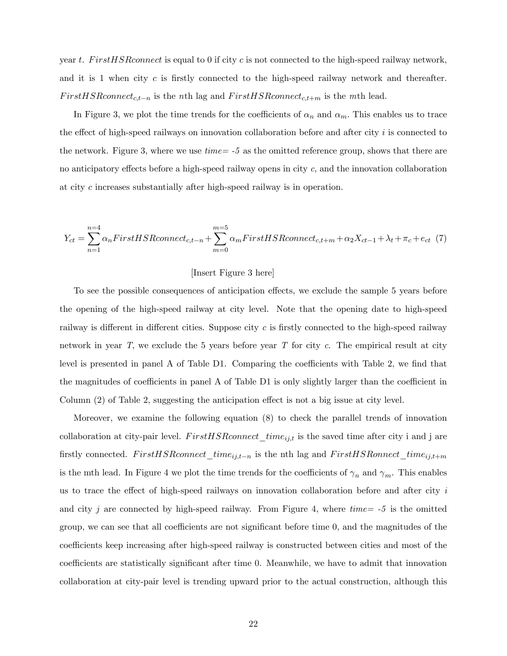year t. First HSR connect is equal to 0 if city c is not connected to the high-speed railway network, and it is 1 when city c is firstly connected to the high-speed railway network and thereafter.  $First HSR connect_{c,t-n}$  is the nth lag and  $FirstHSR connect_{c,t+m}$  is the mth lead.

In Figure 3, we plot the time trends for the coefficients of  $\alpha_n$  and  $\alpha_m$ . This enables us to trace the effect of high-speed railways on innovation collaboration before and after city  $i$  is connected to the network. Figure 3, where we use  $time = -5$  as the omitted reference group, shows that there are no anticipatory effects before a high-speed railway opens in city  $c$ , and the innovation collaboration at city c increases substantially after high-speed railway is in operation.

$$
Y_{ct} = \sum_{n=1}^{n=4} \alpha_n FirstHSRconnect_{c,t-n} + \sum_{m=0}^{m=5} \alpha_m FirstHSRconnect_{c,t+m} + \alpha_2 X_{ct-1} + \lambda_t + \pi_c + e_{ct} \tag{7}
$$

#### [Insert Figure 3 here]

To see the possible consequences of anticipation effects, we exclude the sample 5 years before the opening of the high-speed railway at city level. Note that the opening date to high-speed railway is different in different cities. Suppose city  $c$  is firstly connected to the high-speed railway network in year  $T$ , we exclude the 5 years before year  $T$  for city  $c$ . The empirical result at city level is presented in panel A of Table D1. Comparing the coefficients with Table 2, we find that the magnitudes of coefficients in panel A of Table  $D1$  is only slightly larger than the coefficient in Column  $(2)$  of Table 2, suggesting the anticipation effect is not a big issue at city level.

Moreover, we examine the following equation (8) to check the parallel trends of innovation collaboration at city-pair level.  $FirstHSR connect\_time_{ij,t}$  is the saved time after city i and j are firstly connected. FirstHSRconnect\_time<sub>ij,t-n</sub> is the nth lag and FirstHSRonnect\_time<sub>ij,t+m</sub> is the mth lead. In Figure 4 we plot the time trends for the coefficients of  $\gamma_n$  and  $\gamma_m$ . This enables us to trace the effect of high-speed railways on innovation collaboration before and after city  $i$ and city j are connected by high-speed railway. From Figure 4, where  $time = -5$  is the omitted group, we can see that all coefficients are not significant before time  $0$ , and the magnitudes of the coefficients keep increasing after high-speed railway is constructed between cities and most of the coefficients are statistically significant after time 0. Meanwhile, we have to admit that innovation collaboration at city-pair level is trending upward prior to the actual construction, although this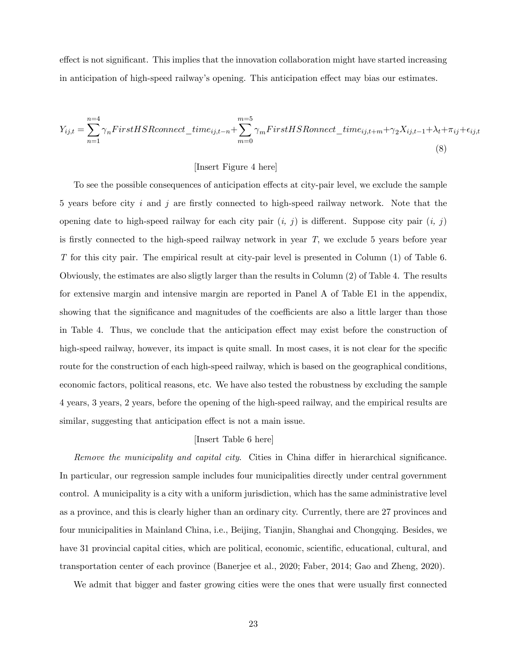effect is not significant. This implies that the innovation collaboration might have started increasing in anticipation of high-speed railway's opening. This anticipation effect may bias our estimates.

$$
Y_{ij,t} = \sum_{n=1}^{n=4} \gamma_n FirstHSRconnect\_time_{ij,t-n} + \sum_{m=0}^{m=5} \gamma_m FirstHSRconnect\_time_{ij,t+m} + \gamma_2 X_{ij,t-1} + \lambda_t + \pi_{ij} + \epsilon_{ij,t}
$$
\n(8)

## [Insert Figure 4 here]

To see the possible consequences of anticipation effects at city-pair level, we exclude the sample 5 years before city i and j are firstly connected to high-speed railway network. Note that the opening date to high-speed railway for each city pair  $(i, j)$  is different. Suppose city pair  $(i, j)$ is firstly connected to the high-speed railway network in year  $T$ , we exclude 5 years before year T for this city pair. The empirical result at city-pair level is presented in Column (1) of Table 6. Obviously, the estimates are also sligtly larger than the results in Column (2) of Table 4. The results for extensive margin and intensive margin are reported in Panel A of Table E1 in the appendix, showing that the significance and magnitudes of the coefficients are also a little larger than those in Table 4. Thus, we conclude that the anticipation effect may exist before the construction of high-speed railway, however, its impact is quite small. In most cases, it is not clear for the specific route for the construction of each high-speed railway, which is based on the geographical conditions, economic factors, political reasons, etc. We have also tested the robustness by excluding the sample 4 years, 3 years, 2 years, before the opening of the high-speed railway, and the empirical results are similar, suggesting that anticipation effect is not a main issue.

# [Insert Table 6 here]

Remove the municipality and capital city. Cities in China differ in hierarchical significance. In particular, our regression sample includes four municipalities directly under central government control. A municipality is a city with a uniform jurisdiction, which has the same administrative level as a province, and this is clearly higher than an ordinary city. Currently, there are 27 provinces and four municipalities in Mainland China, i.e., Beijing, Tianjin, Shanghai and Chongqing. Besides, we have 31 provincial capital cities, which are political, economic, scientific, educational, cultural, and transportation center of each province (Banerjee et al., 2020; Faber, 2014; Gao and Zheng, 2020).

We admit that bigger and faster growing cities were the ones that were usually first connected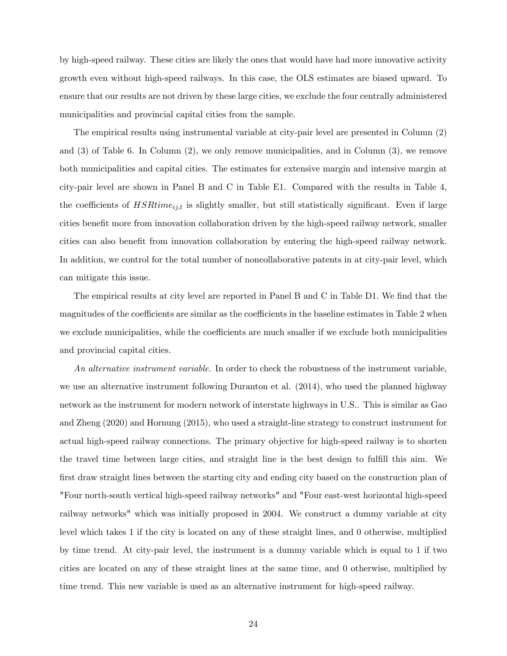by high-speed railway. These cities are likely the ones that would have had more innovative activity growth even without high-speed railways. In this case, the OLS estimates are biased upward. To ensure that our results are not driven by these large cities, we exclude the four centrally administered municipalities and provincial capital cities from the sample.

The empirical results using instrumental variable at city-pair level are presented in Column (2) and (3) of Table 6. In Column (2), we only remove municipalities, and in Column (3), we remove both municipalities and capital cities. The estimates for extensive margin and intensive margin at city-pair level are shown in Panel B and C in Table E1. Compared with the results in Table 4, the coefficients of  $HSRtime_{ij,t}$  is slightly smaller, but still statistically significant. Even if large cities benefit more from innovation collaboration driven by the high-speed railway network, smaller cities can also benefit from innovation collaboration by entering the high-speed railway network. In addition, we control for the total number of noncollaborative patents in at city-pair level, which can mitigate this issue.

The empirical results at city level are reported in Panel B and C in Table D1. We find that the magnitudes of the coefficients are similar as the coefficients in the baseline estimates in Table 2 when we exclude municipalities, while the coefficients are much smaller if we exclude both municipalities and provincial capital cities.

An alternative instrument variable. In order to check the robustness of the instrument variable, we use an alternative instrument following Duranton et al. (2014), who used the planned highway network as the instrument for modern network of interstate highways in U.S.. This is similar as Gao and Zheng (2020) and Hornung (2015), who used a straight-line strategy to construct instrument for actual high-speed railway connections. The primary objective for high-speed railway is to shorten the travel time between large cities, and straight line is the best design to fulfill this aim. We first draw straight lines between the starting city and ending city based on the construction plan of "Four north-south vertical high-speed railway networks" and "Four east-west horizontal high-speed railway networks" which was initially proposed in 2004. We construct a dummy variable at city level which takes 1 if the city is located on any of these straight lines, and 0 otherwise, multiplied by time trend. At city-pair level, the instrument is a dummy variable which is equal to 1 if two cities are located on any of these straight lines at the same time, and 0 otherwise, multiplied by time trend. This new variable is used as an alternative instrument for high-speed railway.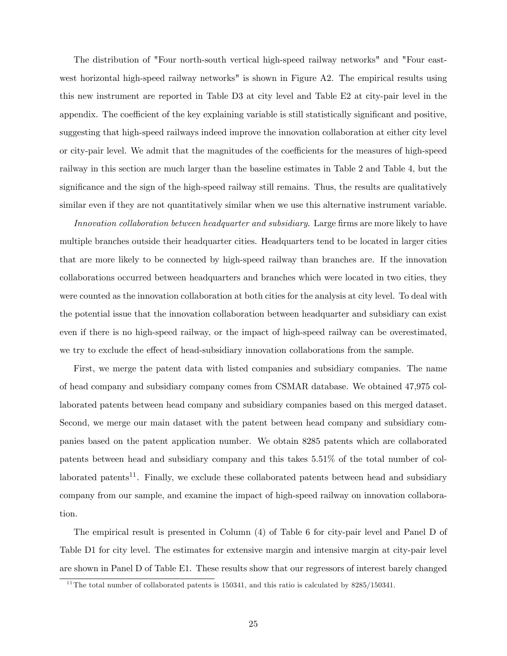The distribution of "Four north-south vertical high-speed railway networks" and "Four eastwest horizontal high-speed railway networks" is shown in Figure A2. The empirical results using this new instrument are reported in Table D3 at city level and Table E2 at city-pair level in the appendix. The coefficient of the key explaining variable is still statistically significant and positive, suggesting that high-speed railways indeed improve the innovation collaboration at either city level or city-pair level. We admit that the magnitudes of the coefficients for the measures of high-speed railway in this section are much larger than the baseline estimates in Table 2 and Table 4, but the significance and the sign of the high-speed railway still remains. Thus, the results are qualitatively similar even if they are not quantitatively similar when we use this alternative instrument variable.

Innovation collaboration between headquarter and subsidiary. Large firms are more likely to have multiple branches outside their headquarter cities. Headquarters tend to be located in larger cities that are more likely to be connected by high-speed railway than branches are. If the innovation collaborations occurred between headquarters and branches which were located in two cities, they were counted as the innovation collaboration at both cities for the analysis at city level. To deal with the potential issue that the innovation collaboration between headquarter and subsidiary can exist even if there is no high-speed railway, or the impact of high-speed railway can be overestimated, we try to exclude the effect of head-subsidiary innovation collaborations from the sample.

First, we merge the patent data with listed companies and subsidiary companies. The name of head company and subsidiary company comes from CSMAR database. We obtained 47,975 collaborated patents between head company and subsidiary companies based on this merged dataset. Second, we merge our main dataset with the patent between head company and subsidiary companies based on the patent application number. We obtain 8285 patents which are collaborated patents between head and subsidiary company and this takes 5.51% of the total number of collaborated patents<sup>11</sup>. Finally, we exclude these collaborated patents between head and subsidiary company from our sample, and examine the impact of high-speed railway on innovation collaboration.

The empirical result is presented in Column (4) of Table 6 for city-pair level and Panel D of Table D1 for city level. The estimates for extensive margin and intensive margin at city-pair level are shown in Panel D of Table E1. These results show that our regressors of interest barely changed

<sup>&</sup>lt;sup>11</sup>The total number of collaborated patents is 150341, and this ratio is calculated by  $8285/150341$ .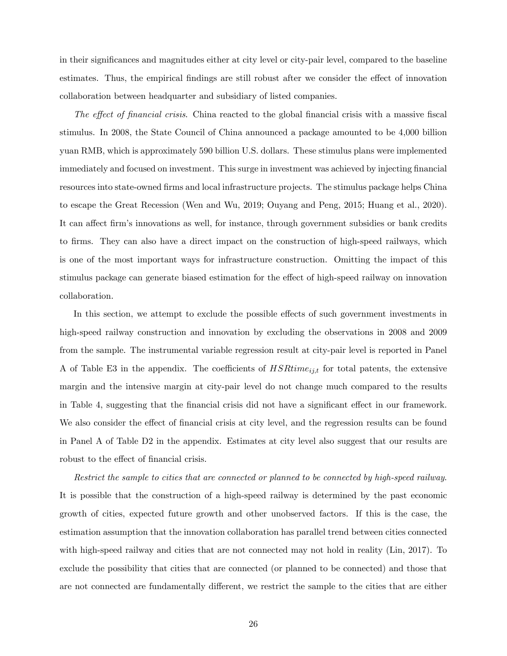in their significances and magnitudes either at city level or city-pair level, compared to the baseline estimates. Thus, the empirical findings are still robust after we consider the effect of innovation collaboration between headquarter and subsidiary of listed companies.

The effect of financial crisis. China reacted to the global financial crisis with a massive fiscal stimulus. In 2008, the State Council of China announced a package amounted to be 4,000 billion yuan RMB, which is approximately 590 billion U.S. dollars. These stimulus plans were implemented immediately and focused on investment. This surge in investment was achieved by injecting financial resources into state-owned firms and local infrastructure projects. The stimulus package helps China to escape the Great Recession (Wen and Wu, 2019; Ouyang and Peng, 2015; Huang et al., 2020). It can affect firm's innovations as well, for instance, through government subsidies or bank credits to firms. They can also have a direct impact on the construction of high-speed railways, which is one of the most important ways for infrastructure construction. Omitting the impact of this stimulus package can generate biased estimation for the effect of high-speed railway on innovation collaboration.

In this section, we attempt to exclude the possible effects of such government investments in high-speed railway construction and innovation by excluding the observations in 2008 and 2009 from the sample. The instrumental variable regression result at city-pair level is reported in Panel A of Table E3 in the appendix. The coefficients of  $HSRtime_{ij,t}$  for total patents, the extensive margin and the intensive margin at city-pair level do not change much compared to the results in Table 4, suggesting that the financial crisis did not have a significant effect in our framework. We also consider the effect of financial crisis at city level, and the regression results can be found in Panel A of Table D2 in the appendix. Estimates at city level also suggest that our results are robust to the effect of financial crisis.

Restrict the sample to cities that are connected or planned to be connected by high-speed railway. It is possible that the construction of a high-speed railway is determined by the past economic growth of cities, expected future growth and other unobserved factors. If this is the case, the estimation assumption that the innovation collaboration has parallel trend between cities connected with high-speed railway and cities that are not connected may not hold in reality (Lin, 2017). To exclude the possibility that cities that are connected (or planned to be connected) and those that are not connected are fundamentally different, we restrict the sample to the cities that are either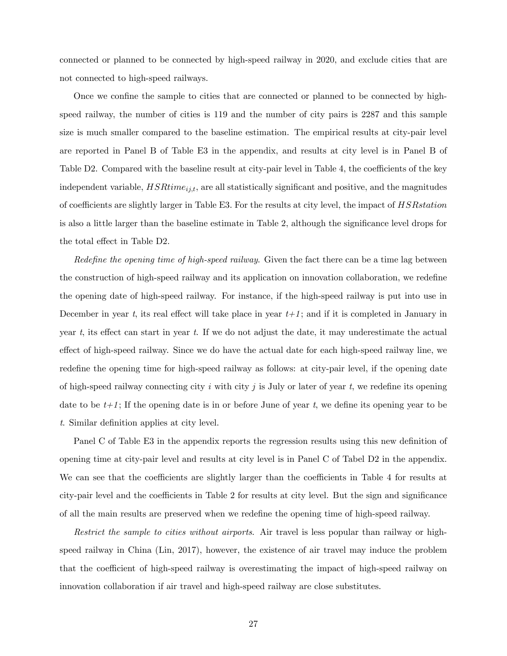connected or planned to be connected by high-speed railway in 2020, and exclude cities that are not connected to high-speed railways.

Once we confine the sample to cities that are connected or planned to be connected by highspeed railway, the number of cities is 119 and the number of city pairs is 2287 and this sample size is much smaller compared to the baseline estimation. The empirical results at city-pair level are reported in Panel B of Table E3 in the appendix, and results at city level is in Panel B of Table D2. Compared with the baseline result at city-pair level in Table 4, the coefficients of the key independent variable,  $HSRtime_{ij,t}$ , are all statistically significant and positive, and the magnitudes of coefficients are slightly larger in Table E3. For the results at city level, the impact of  $HSRstation$ is also a little larger than the baseline estimate in Table 2, although the significance level drops for the total effect in Table D2.

Redefine the opening time of high-speed railway. Given the fact there can be a time lag between the construction of high-speed railway and its application on innovation collaboration, we redefine the opening date of high-speed railway. For instance, if the high-speed railway is put into use in December in year t, its real effect will take place in year  $t+1$ ; and if it is completed in January in year t, its effect can start in year t. If we do not adjust the date, it may underestimate the actual effect of high-speed railway. Since we do have the actual date for each high-speed railway line, we redefine the opening time for high-speed railway as follows: at city-pair level, if the opening date of high-speed railway connecting city i with city j is July or later of year t, we redefine its opening date to be  $t+1$ ; If the opening date is in or before June of year t, we define its opening year to be t. Similar definition applies at city level.

Panel C of Table E3 in the appendix reports the regression results using this new definition of opening time at city-pair level and results at city level is in Panel C of Tabel D2 in the appendix. We can see that the coefficients are slightly larger than the coefficients in Table 4 for results at city-pair level and the coefficients in Table 2 for results at city level. But the sign and significance of all the main results are preserved when we redefine the opening time of high-speed railway.

Restrict the sample to cities without airports. Air travel is less popular than railway or highspeed railway in China (Lin, 2017), however, the existence of air travel may induce the problem that the coefficient of high-speed railway is overestimating the impact of high-speed railway on innovation collaboration if air travel and high-speed railway are close substitutes.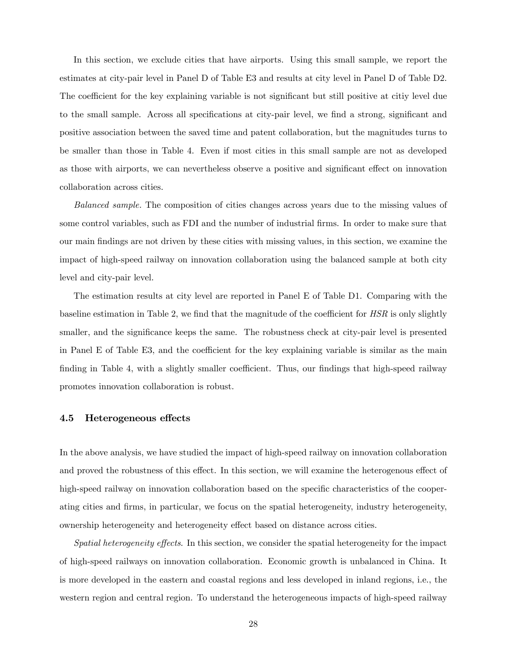In this section, we exclude cities that have airports. Using this small sample, we report the estimates at city-pair level in Panel D of Table E3 and results at city level in Panel D of Table D2. The coefficient for the key explaining variable is not significant but still positive at citiy level due to the small sample. Across all specifications at city-pair level, we find a strong, significant and positive association between the saved time and patent collaboration, but the magnitudes turns to be smaller than those in Table 4. Even if most cities in this small sample are not as developed as those with airports, we can nevertheless observe a positive and significant effect on innovation collaboration across cities.

Balanced sample. The composition of cities changes across years due to the missing values of some control variables, such as FDI and the number of industrial firms. In order to make sure that our main Öndings are not driven by these cities with missing values, in this section, we examine the impact of high-speed railway on innovation collaboration using the balanced sample at both city level and city-pair level.

The estimation results at city level are reported in Panel E of Table D1. Comparing with the baseline estimation in Table 2, we find that the magnitude of the coefficient for  $HSR$  is only slightly smaller, and the significance keeps the same. The robustness check at city-pair level is presented in Panel E of Table E3, and the coefficient for the key explaining variable is similar as the main finding in Table 4, with a slightly smaller coefficient. Thus, our findings that high-speed railway promotes innovation collaboration is robust.

#### 4.5 Heterogeneous effects

In the above analysis, we have studied the impact of high-speed railway on innovation collaboration and proved the robustness of this effect. In this section, we will examine the heterogenous effect of high-speed railway on innovation collaboration based on the specific characteristics of the cooperating cities and Örms, in particular, we focus on the spatial heterogeneity, industry heterogeneity, ownership heterogeneity and heterogeneity effect based on distance across cities.

Spatial heterogeneity effects. In this section, we consider the spatial heterogeneity for the impact of high-speed railways on innovation collaboration. Economic growth is unbalanced in China. It is more developed in the eastern and coastal regions and less developed in inland regions, i.e., the western region and central region. To understand the heterogeneous impacts of high-speed railway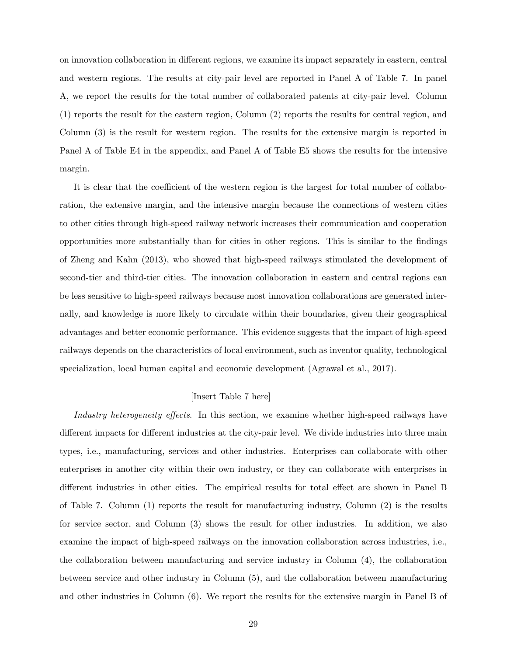on innovation collaboration in different regions, we examine its impact separately in eastern, central and western regions. The results at city-pair level are reported in Panel A of Table 7. In panel A, we report the results for the total number of collaborated patents at city-pair level. Column (1) reports the result for the eastern region, Column (2) reports the results for central region, and Column (3) is the result for western region. The results for the extensive margin is reported in Panel A of Table E4 in the appendix, and Panel A of Table E5 shows the results for the intensive margin.

It is clear that the coefficient of the western region is the largest for total number of collaboration, the extensive margin, and the intensive margin because the connections of western cities to other cities through high-speed railway network increases their communication and cooperation opportunities more substantially than for cities in other regions. This is similar to the Öndings of Zheng and Kahn (2013), who showed that high-speed railways stimulated the development of second-tier and third-tier cities. The innovation collaboration in eastern and central regions can be less sensitive to high-speed railways because most innovation collaborations are generated internally, and knowledge is more likely to circulate within their boundaries, given their geographical advantages and better economic performance. This evidence suggests that the impact of high-speed railways depends on the characteristics of local environment, such as inventor quality, technological specialization, local human capital and economic development (Agrawal et al., 2017).

#### [Insert Table 7 here]

Industry heterogeneity effects. In this section, we examine whether high-speed railways have different impacts for different industries at the city-pair level. We divide industries into three main types, i.e., manufacturing, services and other industries. Enterprises can collaborate with other enterprises in another city within their own industry, or they can collaborate with enterprises in different industries in other cities. The empirical results for total effect are shown in Panel B of Table 7. Column (1) reports the result for manufacturing industry, Column (2) is the results for service sector, and Column (3) shows the result for other industries. In addition, we also examine the impact of high-speed railways on the innovation collaboration across industries, i.e., the collaboration between manufacturing and service industry in Column (4), the collaboration between service and other industry in Column (5), and the collaboration between manufacturing and other industries in Column (6). We report the results for the extensive margin in Panel B of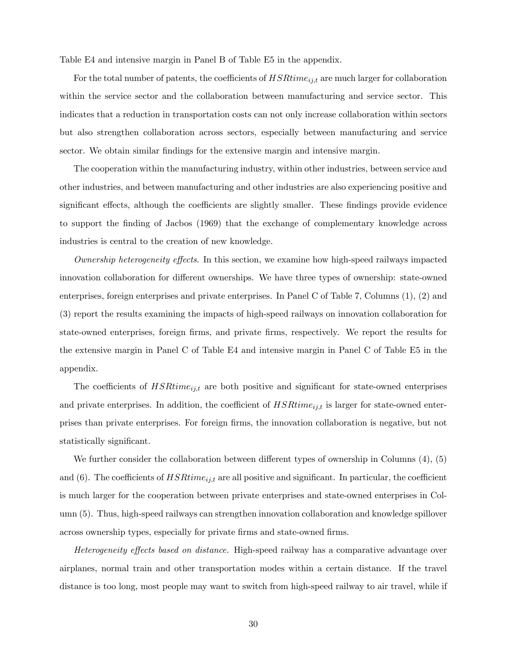Table E4 and intensive margin in Panel B of Table E5 in the appendix.

For the total number of patents, the coefficients of  $HSRtime_{ij,t}$  are much larger for collaboration within the service sector and the collaboration between manufacturing and service sector. This indicates that a reduction in transportation costs can not only increase collaboration within sectors but also strengthen collaboration across sectors, especially between manufacturing and service sector. We obtain similar findings for the extensive margin and intensive margin.

The cooperation within the manufacturing industry, within other industries, between service and other industries, and between manufacturing and other industries are also experiencing positive and significant effects, although the coefficients are slightly smaller. These findings provide evidence to support the Önding of Jacbos (1969) that the exchange of complementary knowledge across industries is central to the creation of new knowledge.

*Ownership heterogeneity effects*. In this section, we examine how high-speed railways impacted innovation collaboration for different ownerships. We have three types of ownership: state-owned enterprises, foreign enterprises and private enterprises. In Panel C of Table 7, Columns (1), (2) and (3) report the results examining the impacts of high-speed railways on innovation collaboration for state-owned enterprises, foreign firms, and private firms, respectively. We report the results for the extensive margin in Panel C of Table E4 and intensive margin in Panel C of Table E5 in the appendix.

The coefficients of  $HSRtime_{ij,t}$  are both positive and significant for state-owned enterprises and private enterprises. In addition, the coefficient of  $HSRtime_{ij,t}$  is larger for state-owned enterprises than private enterprises. For foreign Örms, the innovation collaboration is negative, but not statistically significant.

We further consider the collaboration between different types of ownership in Columns  $(4)$ ,  $(5)$ and (6). The coefficients of  $HSRtime_{ij,t}$  are all positive and significant. In particular, the coefficient is much larger for the cooperation between private enterprises and state-owned enterprises in Column (5). Thus, high-speed railways can strengthen innovation collaboration and knowledge spillover across ownership types, especially for private Örms and state-owned Örms.

Heterogeneity effects based on distance. High-speed railway has a comparative advantage over airplanes, normal train and other transportation modes within a certain distance. If the travel distance is too long, most people may want to switch from high-speed railway to air travel, while if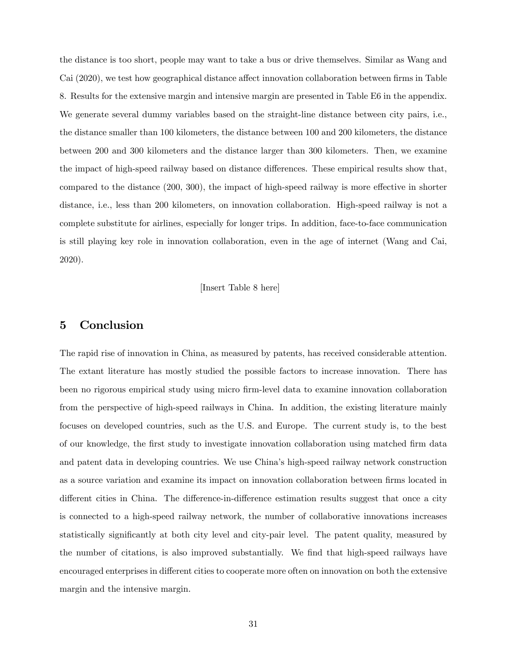the distance is too short, people may want to take a bus or drive themselves. Similar as Wang and Cai (2020), we test how geographical distance affect innovation collaboration between firms in Table 8. Results for the extensive margin and intensive margin are presented in Table E6 in the appendix. We generate several dummy variables based on the straight-line distance between city pairs, i.e., the distance smaller than 100 kilometers, the distance between 100 and 200 kilometers, the distance between 200 and 300 kilometers and the distance larger than 300 kilometers. Then, we examine the impact of high-speed railway based on distance differences. These empirical results show that, compared to the distance  $(200, 300)$ , the impact of high-speed railway is more effective in shorter distance, i.e., less than 200 kilometers, on innovation collaboration. High-speed railway is not a complete substitute for airlines, especially for longer trips. In addition, face-to-face communication is still playing key role in innovation collaboration, even in the age of internet (Wang and Cai, 2020).

[Insert Table 8 here]

# 5 Conclusion

The rapid rise of innovation in China, as measured by patents, has received considerable attention. The extant literature has mostly studied the possible factors to increase innovation. There has been no rigorous empirical study using micro Örm-level data to examine innovation collaboration from the perspective of high-speed railways in China. In addition, the existing literature mainly focuses on developed countries, such as the U.S. and Europe. The current study is, to the best of our knowledge, the Örst study to investigate innovation collaboration using matched Örm data and patent data in developing countries. We use China's high-speed railway network construction as a source variation and examine its impact on innovation collaboration between firms located in different cities in China. The difference-in-difference estimation results suggest that once a city is connected to a high-speed railway network, the number of collaborative innovations increases statistically significantly at both city level and city-pair level. The patent quality, measured by the number of citations, is also improved substantially. We find that high-speed railways have encouraged enterprises in different cities to cooperate more often on innovation on both the extensive margin and the intensive margin.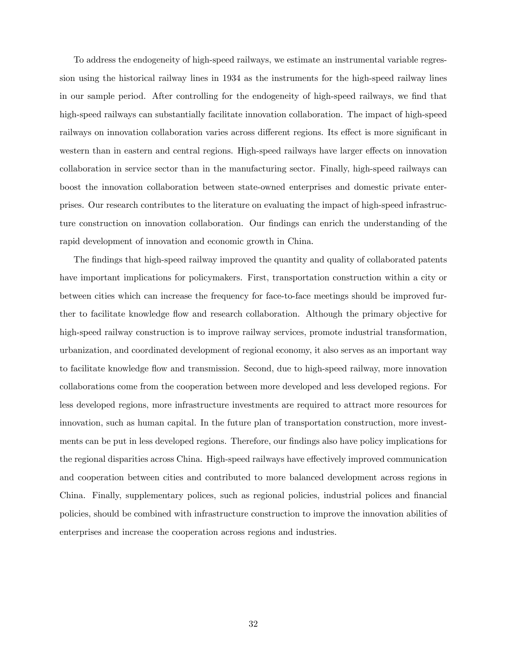To address the endogeneity of high-speed railways, we estimate an instrumental variable regression using the historical railway lines in 1934 as the instruments for the high-speed railway lines in our sample period. After controlling for the endogeneity of high-speed railways, we find that high-speed railways can substantially facilitate innovation collaboration. The impact of high-speed railways on innovation collaboration varies across different regions. Its effect is more significant in western than in eastern and central regions. High-speed railways have larger effects on innovation collaboration in service sector than in the manufacturing sector. Finally, high-speed railways can boost the innovation collaboration between state-owned enterprises and domestic private enterprises. Our research contributes to the literature on evaluating the impact of high-speed infrastructure construction on innovation collaboration. Our findings can enrich the understanding of the rapid development of innovation and economic growth in China.

The findings that high-speed railway improved the quantity and quality of collaborated patents have important implications for policymakers. First, transportation construction within a city or between cities which can increase the frequency for face-to-face meetings should be improved further to facilitate knowledge flow and research collaboration. Although the primary objective for high-speed railway construction is to improve railway services, promote industrial transformation, urbanization, and coordinated development of regional economy, it also serves as an important way to facilitate knowledge flow and transmission. Second, due to high-speed railway, more innovation collaborations come from the cooperation between more developed and less developed regions. For less developed regions, more infrastructure investments are required to attract more resources for innovation, such as human capital. In the future plan of transportation construction, more investments can be put in less developed regions. Therefore, our findings also have policy implications for the regional disparities across China. High-speed railways have effectively improved communication and cooperation between cities and contributed to more balanced development across regions in China. Finally, supplementary polices, such as regional policies, industrial polices and Önancial policies, should be combined with infrastructure construction to improve the innovation abilities of enterprises and increase the cooperation across regions and industries.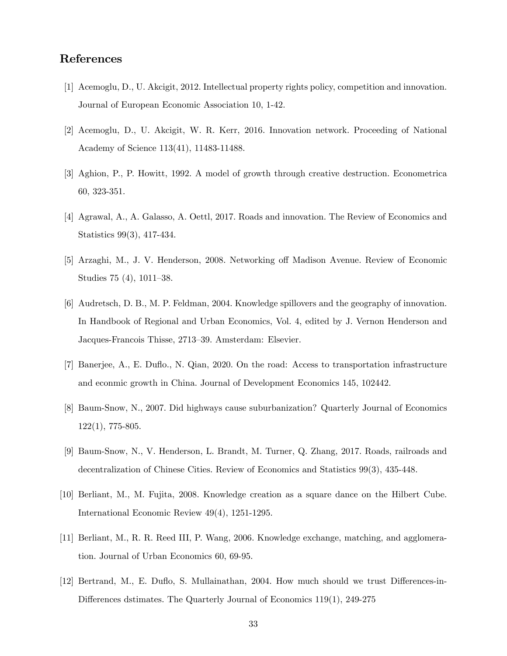# References

- [1] Acemoglu, D., U. Akcigit, 2012. Intellectual property rights policy, competition and innovation. Journal of European Economic Association 10, 1-42.
- [2] Acemoglu, D., U. Akcigit, W. R. Kerr, 2016. Innovation network. Proceeding of National Academy of Science 113(41), 11483-11488.
- [3] Aghion, P., P. Howitt, 1992. A model of growth through creative destruction. Econometrica 60, 323-351.
- [4] Agrawal, A., A. Galasso, A. Oettl, 2017. Roads and innovation. The Review of Economics and Statistics 99(3), 417-434.
- [5] Arzaghi, M., J. V. Henderson, 2008. Networking off Madison Avenue. Review of Economic Studies  $75(4)$ ,  $1011-38$ .
- [6] Audretsch, D. B., M. P. Feldman, 2004. Knowledge spillovers and the geography of innovation. In Handbook of Regional and Urban Economics, Vol. 4, edited by J. Vernon Henderson and Jacques-Francois Thisse, 2713–39. Amsterdam: Elsevier.
- [7] Banerjee, A., E. Duáo., N. Qian, 2020. On the road: Access to transportation infrastructure and econmic growth in China. Journal of Development Economics 145, 102442.
- [8] Baum-Snow, N., 2007. Did highways cause suburbanization? Quarterly Journal of Economics 122(1), 775-805.
- [9] Baum-Snow, N., V. Henderson, L. Brandt, M. Turner, Q. Zhang, 2017. Roads, railroads and decentralization of Chinese Cities. Review of Economics and Statistics 99(3), 435-448.
- [10] Berliant, M., M. Fujita, 2008. Knowledge creation as a square dance on the Hilbert Cube. International Economic Review 49(4), 1251-1295.
- [11] Berliant, M., R. R. Reed III, P. Wang, 2006. Knowledge exchange, matching, and agglomeration. Journal of Urban Economics 60, 69-95.
- [12] Bertrand, M., E. Duflo, S. Mullainathan, 2004. How much should we trust Differences-in-Differences dstimates. The Quarterly Journal of Economics  $119(1)$ ,  $249-275$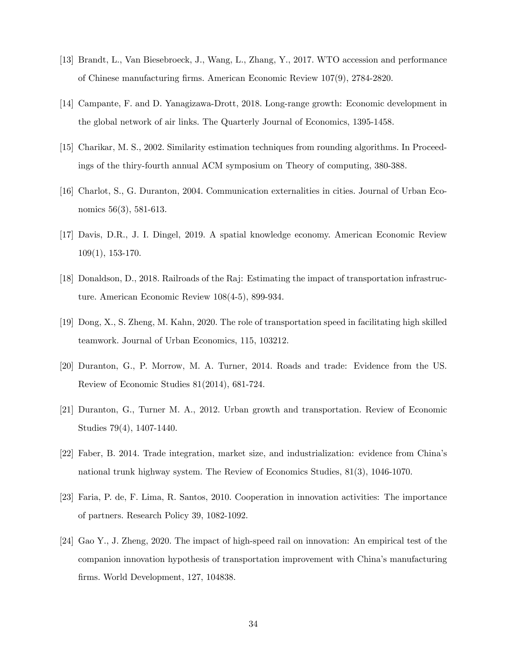- [13] Brandt, L., Van Biesebroeck, J., Wang, L., Zhang, Y., 2017. WTO accession and performance of Chinese manufacturing Örms. American Economic Review 107(9), 2784-2820.
- [14] Campante, F. and D. Yanagizawa-Drott, 2018. Long-range growth: Economic development in the global network of air links. The Quarterly Journal of Economics, 1395-1458.
- [15] Charikar, M. S., 2002. Similarity estimation techniques from rounding algorithms. In Proceedings of the thiry-fourth annual ACM symposium on Theory of computing, 380-388.
- [16] Charlot, S., G. Duranton, 2004. Communication externalities in cities. Journal of Urban Economics 56(3), 581-613.
- [17] Davis, D.R., J. I. Dingel, 2019. A spatial knowledge economy. American Economic Review 109(1), 153-170.
- [18] Donaldson, D., 2018. Railroads of the Raj: Estimating the impact of transportation infrastructure. American Economic Review 108(4-5), 899-934.
- [19] Dong, X., S. Zheng, M. Kahn, 2020. The role of transportation speed in facilitating high skilled teamwork. Journal of Urban Economics, 115, 103212.
- [20] Duranton, G., P. Morrow, M. A. Turner, 2014. Roads and trade: Evidence from the US. Review of Economic Studies 81(2014), 681-724.
- [21] Duranton, G., Turner M. A., 2012. Urban growth and transportation. Review of Economic Studies 79(4), 1407-1440.
- [22] Faber, B. 2014. Trade integration, market size, and industrialization: evidence from Chinaís national trunk highway system. The Review of Economics Studies, 81(3), 1046-1070.
- [23] Faria, P. de, F. Lima, R. Santos, 2010. Cooperation in innovation activities: The importance of partners. Research Policy 39, 1082-1092.
- [24] Gao Y., J. Zheng, 2020. The impact of high-speed rail on innovation: An empirical test of the companion innovation hypothesis of transportation improvement with Chinaís manufacturing firms. World Development, 127, 104838.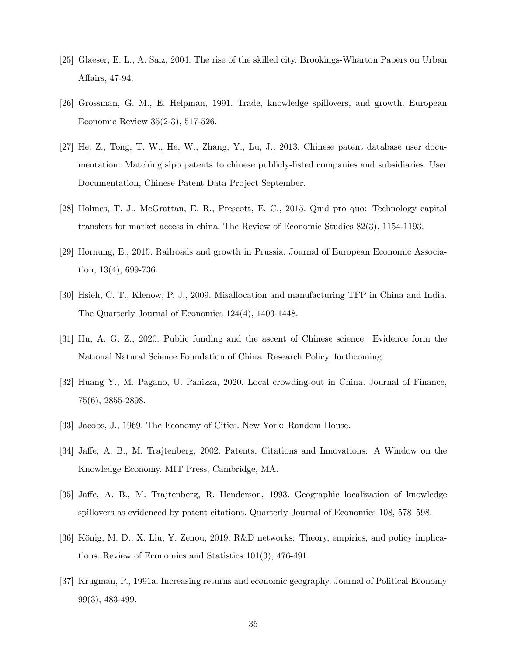- [25] Glaeser, E. L., A. Saiz, 2004. The rise of the skilled city. Brookings-Wharton Papers on Urban Affairs, 47-94.
- [26] Grossman, G. M., E. Helpman, 1991. Trade, knowledge spillovers, and growth. European Economic Review 35(2-3), 517-526.
- [27] He, Z., Tong, T. W., He, W., Zhang, Y., Lu, J., 2013. Chinese patent database user documentation: Matching sipo patents to chinese publicly-listed companies and subsidiaries. User Documentation, Chinese Patent Data Project September.
- [28] Holmes, T. J., McGrattan, E. R., Prescott, E. C., 2015. Quid pro quo: Technology capital transfers for market access in china. The Review of Economic Studies 82(3), 1154-1193.
- [29] Hornung, E., 2015. Railroads and growth in Prussia. Journal of European Economic Association, 13(4), 699-736.
- [30] Hsieh, C. T., Klenow, P. J., 2009. Misallocation and manufacturing TFP in China and India. The Quarterly Journal of Economics 124(4), 1403-1448.
- [31] Hu, A. G. Z., 2020. Public funding and the ascent of Chinese science: Evidence form the National Natural Science Foundation of China. Research Policy, forthcoming.
- [32] Huang Y., M. Pagano, U. Panizza, 2020. Local crowding-out in China. Journal of Finance, 75(6), 2855-2898.
- [33] Jacobs, J., 1969. The Economy of Cities. New York: Random House.
- [34] Jaffe, A. B., M. Trajtenberg, 2002. Patents, Citations and Innovations: A Window on the Knowledge Economy. MIT Press, Cambridge, MA.
- [35] Jaffe, A. B., M. Trajtenberg, R. Henderson, 1993. Geographic localization of knowledge spillovers as evidenced by patent citations. Quarterly Journal of Economics 108, 578–598.
- [36] König, M. D., X. Liu, Y. Zenou, 2019. R&D networks: Theory, empirics, and policy implications. Review of Economics and Statistics 101(3), 476-491.
- [37] Krugman, P., 1991a. Increasing returns and economic geography. Journal of Political Economy 99(3), 483-499.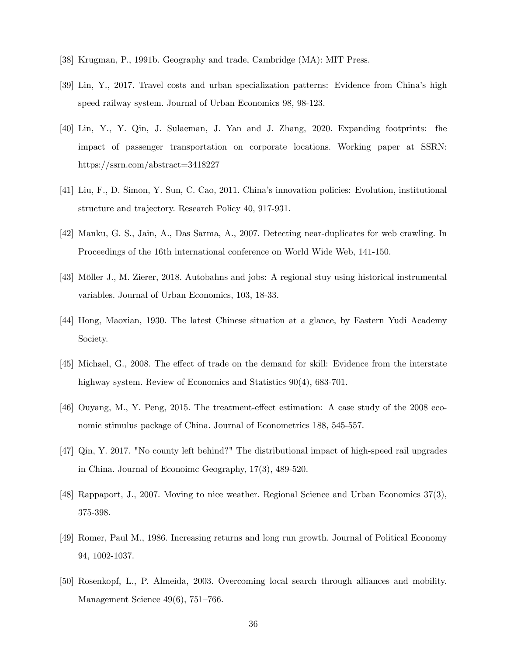- [38] Krugman, P., 1991b. Geography and trade, Cambridge (MA): MIT Press.
- [39] Lin, Y., 2017. Travel costs and urban specialization patterns: Evidence from Chinaís high speed railway system. Journal of Urban Economics 98, 98-123.
- [40] Lin, Y., Y. Qin, J. Sulaeman, J. Yan and J. Zhang, 2020. Expanding footprints: fhe impact of passenger transportation on corporate locations. Working paper at SSRN: https://ssrn.com/abstract=3418227
- [41] Liu, F., D. Simon, Y. Sun, C. Cao, 2011. Chinaís innovation policies: Evolution, institutional structure and trajectory. Research Policy 40, 917-931.
- [42] Manku, G. S., Jain, A., Das Sarma, A., 2007. Detecting near-duplicates for web crawling. In Proceedings of the 16th international conference on World Wide Web, 141-150.
- [43] Möller J., M. Zierer, 2018. Autobahns and jobs: A regional stuy using historical instrumental variables. Journal of Urban Economics, 103, 18-33.
- [44] Hong, Maoxian, 1930. The latest Chinese situation at a glance, by Eastern Yudi Academy Society.
- [45] Michael, G., 2008. The effect of trade on the demand for skill: Evidence from the interstate highway system. Review of Economics and Statistics  $90(4)$ , 683-701.
- $[46]$  Ouyang, M., Y. Peng, 2015. The treatment-effect estimation: A case study of the 2008 economic stimulus package of China. Journal of Econometrics 188, 545-557.
- [47] Qin, Y. 2017. "No county left behind?" The distributional impact of high-speed rail upgrades in China. Journal of Econoimc Geography, 17(3), 489-520.
- [48] Rappaport, J., 2007. Moving to nice weather. Regional Science and Urban Economics 37(3), 375-398.
- [49] Romer, Paul M., 1986. Increasing returns and long run growth. Journal of Political Economy 94, 1002-1037.
- [50] Rosenkopf, L., P. Almeida, 2003. Overcoming local search through alliances and mobility. Management Science  $49(6)$ ,  $751-766$ .